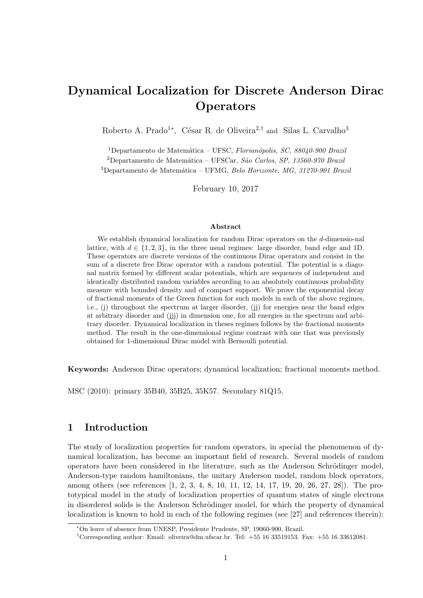# Dynamical Localization for Discrete Anderson Dirac **Operators**

Roberto A. Prado<sup>1\*</sup>, César R. de Oliveira<sup>2,†</sup> and Silas L. Carvalho<sup>3</sup>

<sup>1</sup>Departamento de Matemática – UFSC, Florianópolis, SC, 88040-900 Brazil <sup>2</sup>Departamento de Matemática – UFSCar, São Carlos, SP, 13560-970 Brazil

 $3$ Departamento de Matemática – UFMG, Belo Horizonte, MG, 31270-901 Brazil

February 10, 2017

#### Abstract

We establish dynamical localization for random Dirac operators on the d-dimensio-nal lattice, with  $d \in \{1, 2, 3\}$ , in the three usual regimes: large disorder, band edge and 1D. These operators are discrete versions of the continuous Dirac operators and consist in the sum of a discrete free Dirac operator with a random potential. The potential is a diagonal matrix formed by different scalar potentials, which are sequences of independent and identically distributed random variables according to an absolutely continuous probability measure with bounded density and of compact support. We prove the exponential decay of fractional moments of the Green function for such models in each of the above regimes, i.e., (j) throughout the spectrum at larger disorder, (jj) for energies near the band edges at arbitrary disorder and (jjj) in dimension one, for all energies in the spectrum and arbitrary disorder. Dynamical localization in theses regimes follows by the fractional moments method. The result in the one-dimensional regime contrast with one that was previously obtained for 1-dimensional Dirac model with Bernoulli potential.

Keywords: Anderson Dirac operators; dynamical localization; fractional moments method.

MSC (2010): primary 35B40, 35B25, 35K57. Secondary 81Q15.

# 1 Introduction

The study of localization properties for random operators, in special the phenomenon of dynamical localization, has become an important field of research. Several models of random operators have been considered in the literature, such as the Anderson Schrödinger model, Anderson-type random hamiltonians, the unitary Anderson model, random block operators, among others (see references [1, 2, 3, 4, 8, 10, 11, 12, 14, 17, 19, 20, 26, 27, 28]). The prototypical model in the study of localization properties of quantum states of single electrons in disordered solids is the Anderson Schrödinger model, for which the property of dynamical localization is known to hold in each of the following regimes (see [27] and references therein):

<sup>∗</sup>On leave of absence from UNESP, Presidente Prudente, SP, 19060-900, Brazil.

<sup>†</sup>Corresponding author: Email: oliveira@dm.ufscar.br. Tel: +55 16 33519153. Fax: +55 16 33612081.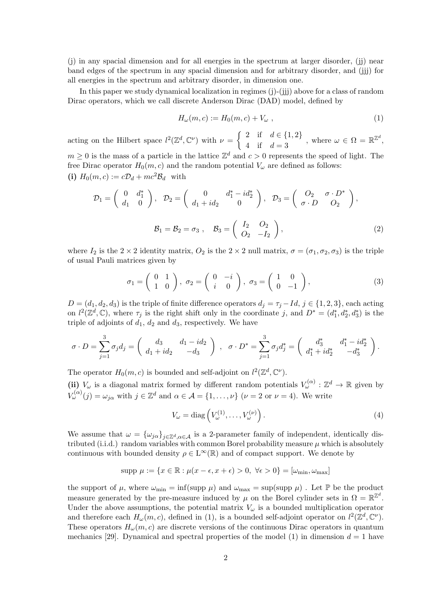(j) in any spacial dimension and for all energies in the spectrum at larger disorder, (jj) near band edges of the spectrum in any spacial dimension and for arbitrary disorder, and (jjj) for all energies in the spectrum and arbitrary disorder, in dimension one.

In this paper we study dynamical localization in regimes (j)-(jjj) above for a class of random Dirac operators, which we call discrete Anderson Dirac (DAD) model, defined by

$$
H_{\omega}(m,c) := H_0(m,c) + V_{\omega} \t\t(1)
$$

acting on the Hilbert space  $l^2(\mathbb{Z}^d, \mathbb{C}^\nu)$  with  $\nu = \begin{cases} 2 & \text{if } d \in \{1,2\} \\ 4 & \text{if } d \leq 2 \end{cases}$ 2 II  $a \in \{1, 2\}$ , where  $\omega \in \Omega = \mathbb{R}^{\mathbb{Z}^d}$ ,<br>4 if  $d = 3$  $m \geq 0$  is the mass of a particle in the lattice  $\mathbb{Z}^d$  and  $c > 0$  represents the speed of light. The

free Dirac operator  $H_0(m, c)$  and the random potential  $V_\omega$  are defined as follows: (i)  $H_0(m, c) := c\mathcal{D}_d + mc^2\mathcal{B}_d$  with

$$
\mathcal{D}_1 = \begin{pmatrix} 0 & d_1^* \\ d_1 & 0 \end{pmatrix}, \quad \mathcal{D}_2 = \begin{pmatrix} 0 & d_1^* - id_2^* \\ d_1 + id_2 & 0 \end{pmatrix}, \quad \mathcal{D}_3 = \begin{pmatrix} O_2 & \sigma \cdot D^* \\ \sigma \cdot D & O_2 \end{pmatrix},
$$

$$
\mathcal{B}_1 = \mathcal{B}_2 = \sigma_3, \quad \mathcal{B}_3 = \begin{pmatrix} I_2 & O_2 \\ O_2 & -I_2 \end{pmatrix},
$$
(2)

where  $I_2$  is the  $2 \times 2$  identity matrix,  $O_2$  is the  $2 \times 2$  null matrix,  $\sigma = (\sigma_1, \sigma_2, \sigma_3)$  is the triple of usual Pauli matrices given by

$$
\sigma_1 = \begin{pmatrix} 0 & 1 \\ 1 & 0 \end{pmatrix}, \ \sigma_2 = \begin{pmatrix} 0 & -i \\ i & 0 \end{pmatrix}, \ \sigma_3 = \begin{pmatrix} 1 & 0 \\ 0 & -1 \end{pmatrix}, \tag{3}
$$

 $D = (d_1, d_2, d_3)$  is the triple of finite difference operators  $d_j = \tau_j - Id, j \in \{1, 2, 3\}$ , each acting on  $l^2(\mathbb{Z}^d,\mathbb{C})$ , where  $\tau_j$  is the right shift only in the coordinate j, and  $D^* = (d_1^*, d_2^*, d_3^*)$  is the triple of adjoints of  $d_1$ ,  $d_2$  and  $d_3$ , respectively. We have

$$
\sigma \cdot D = \sum_{j=1}^{3} \sigma_j d_j = \begin{pmatrix} d_3 & d_1 - id_2 \\ d_1 + id_2 & -d_3 \end{pmatrix} , \quad \sigma \cdot D^* = \sum_{j=1}^{3} \sigma_j d_j^* = \begin{pmatrix} d_3^* & d_1^* - id_2^* \\ d_1^* + id_2^* & -d_3^* \end{pmatrix}.
$$

The operator  $H_0(m, c)$  is bounded and self-adjoint on  $l^2(\mathbb{Z}^d, \mathbb{C}^{\nu})$ .

(ii)  $V_\omega$  is a diagonal matrix formed by different random potentials  $V_\omega^{(\alpha)} : \mathbb{Z}^d \to \mathbb{R}$  given by  $V_{\omega}^{(\alpha)}(j) = \omega_{j\alpha}$  with  $j \in \mathbb{Z}^d$  and  $\alpha \in \mathcal{A} = \{1, \ldots, \nu\}$   $(\nu = 2 \text{ or } \nu = 4)$ . We write

$$
V_{\omega} = \text{diag}\left(V_{\omega}^{(1)}, \dots, V_{\omega}^{(\nu)}\right). \tag{4}
$$

We assume that  $\omega = {\{\omega_{j\alpha}\}}_{j\in\mathbb{Z}^d,\alpha\in\mathcal{A}}$  is a 2-parameter family of independent, identically distributed (i.i.d.) random variables with common Borel probability measure  $\mu$  which is absolutely continuous with bounded density  $\rho \in L^{\infty}(\mathbb{R})$  and of compact support. We denote by

$$
supp \ \mu := \{ x \in \mathbb{R} : \mu(x - \epsilon, x + \epsilon) > 0, \ \forall \epsilon > 0 \} = [\omega_{\min}, \omega_{\max}]
$$

the support of  $\mu$ , where  $\omega_{\min} = \inf(\text{supp }\mu)$  and  $\omega_{\max} = \sup(\text{supp }\mu)$ . Let  $\mathbb P$  be the product measure generated by the pre-measure induced by  $\mu$  on the Borel cylinder sets in  $\Omega = \mathbb{R}^{\mathbb{Z}^d}$ . Under the above assumptions, the potential matrix  $V_{\omega}$  is a bounded multiplication operator and therefore each  $H_{\omega}(m, c)$ , defined in (1), is a bounded self-adjoint operator on  $l^2(\mathbb{Z}^d, \mathbb{C}^{\nu})$ . These operators  $H_{\omega}(m, c)$  are discrete versions of the continuous Dirac operators in quantum mechanics [29]. Dynamical and spectral properties of the model (1) in dimension  $d = 1$  have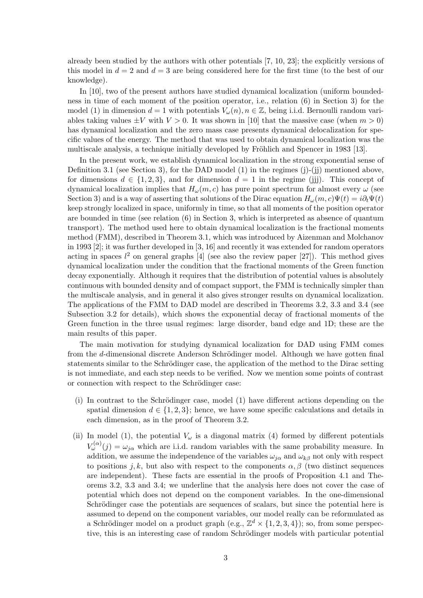already been studied by the authors with other potentials [7, 10, 23]; the explicitly versions of this model in  $d = 2$  and  $d = 3$  are being considered here for the first time (to the best of our knowledge).

In [10], two of the present authors have studied dynamical localization (uniform boundedness in time of each moment of the position operator, i.e., relation (6) in Section 3) for the model (1) in dimension  $d = 1$  with potentials  $V_\omega(n)$ ,  $n \in \mathbb{Z}$ , being i.i.d. Bernoulli random variables taking values  $\pm V$  with  $V > 0$ . It was shown in [10] that the massive case (when  $m > 0$ ) has dynamical localization and the zero mass case presents dynamical delocalization for specific values of the energy. The method that was used to obtain dynamical localization was the multiscale analysis, a technique initially developed by Fröhlich and Spencer in 1983 [13].

In the present work, we establish dynamical localization in the strong exponential sense of Definition 3.1 (see Section 3), for the DAD model (1) in the regimes  $(j)-(jj)$  mentioned above, for dimensions  $d \in \{1, 2, 3\}$ , and for dimension  $d = 1$  in the regime (jjj). This concept of dynamical localization implies that  $H_{\omega}(m, c)$  has pure point spectrum for almost every  $\omega$  (see Section 3) and is a way of asserting that solutions of the Dirac equation  $H_{\omega}(m, c)\Psi(t) = i\partial_t \Psi(t)$ keep strongly localized in space, uniformly in time, so that all moments of the position operator are bounded in time (see relation (6) in Section 3, which is interpreted as absence of quantum transport). The method used here to obtain dynamical localization is the fractional moments method (FMM), described in Theorem 3.1, which was introduced by Aizenman and Molchanov in 1993 [2]; it was further developed in [3, 16] and recently it was extended for random operators acting in spaces  $l^2$  on general graphs [4] (see also the review paper [27]). This method gives dynamical localization under the condition that the fractional moments of the Green function decay exponentially. Although it requires that the distribution of potential values is absolutely continuous with bounded density and of compact support, the FMM is technically simpler than the multiscale analysis, and in general it also gives stronger results on dynamical localization. The applications of the FMM to DAD model are described in Theorems 3.2, 3.3 and 3.4 (see Subsection 3.2 for details), which shows the exponential decay of fractional moments of the Green function in the three usual regimes: large disorder, band edge and 1D; these are the main results of this paper.

The main motivation for studying dynamical localization for DAD using FMM comes from the d-dimensional discrete Anderson Schrödinger model. Although we have gotten final statements similar to the Schrödinger case, the application of the method to the Dirac setting is not immediate, and each step needs to be verified. Now we mention some points of contrast or connection with respect to the Schrödinger case:

- (i) In contrast to the Schrödinger case, model  $(1)$  have different actions depending on the spatial dimension  $d \in \{1, 2, 3\}$ ; hence, we have some specific calculations and details in each dimension, as in the proof of Theorem 3.2.
- (ii) In model (1), the potential  $V_{\omega}$  is a diagonal matrix (4) formed by different potentials  $V_{\omega}^{(\alpha)}(j) = \omega_{j\alpha}$  which are i.i.d. random variables with the same probability measure. In addition, we assume the independence of the variables  $\omega_{i\alpha}$  and  $\omega_{k\beta}$  not only with respect to positions j, k, but also with respect to the components  $\alpha, \beta$  (two distinct sequences are independent). These facts are essential in the proofs of Proposition 4.1 and Theorems 3.2, 3.3 and 3.4; we underline that the analysis here does not cover the case of potential which does not depend on the component variables. In the one-dimensional Schrödinger case the potentials are sequences of scalars, but since the potential here is assumed to depend on the component variables, our model really can be reformulated as a Schrödinger model on a product graph (e.g.,  $\mathbb{Z}^d \times \{1, 2, 3, 4\}$ ); so, from some perspective, this is an interesting case of random Schrödinger models with particular potential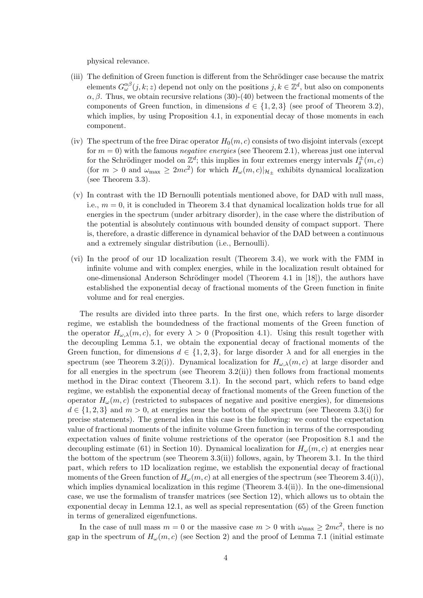physical relevance.

- (iii) The definition of Green function is different from the Schrödinger case because the matrix elements  $G^{\alpha\beta}_{\omega}(j,k;z)$  depend not only on the positions  $j,k\in\mathbb{Z}^d,$  but also on components  $\alpha$ ,  $\beta$ . Thus, we obtain recursive relations (30)-(40) between the fractional moments of the components of Green function, in dimensions  $d \in \{1, 2, 3\}$  (see proof of Theorem 3.2), which implies, by using Proposition 4.1, in exponential decay of those moments in each component.
- (iv) The spectrum of the free Dirac operator  $H_0(m, c)$  consists of two disjoint intervals (except for  $m = 0$ ) with the famous *negative energies* (see Theorem 2.1), whereas just one interval for the Schrödinger model on  $\mathbb{Z}^d$ ; this implies in four extremes energy intervals  $I_{\delta}^{\pm}$  $\bar{\delta}^{\pm}(m,c)$ (for  $m > 0$  and  $\omega_{\text{max}} \ge 2mc^2$ ) for which  $H_{\omega}(m, c)|_{\mathcal{H}_{\pm}}$  exhibits dynamical localization (see Theorem 3.3).
- (v) In contrast with the 1D Bernoulli potentials mentioned above, for DAD with null mass, i.e.,  $m = 0$ , it is concluded in Theorem 3.4 that dynamical localization holds true for all energies in the spectrum (under arbitrary disorder), in the case where the distribution of the potential is absolutely continuous with bounded density of compact support. There is, therefore, a drastic difference in dynamical behavior of the DAD between a continuous and a extremely singular distribution (i.e., Bernoulli).
- (vi) In the proof of our 1D localization result (Theorem 3.4), we work with the FMM in infinite volume and with complex energies, while in the localization result obtained for one-dimensional Anderson Schrödinger model (Theorem 4.1 in [18]), the authors have established the exponential decay of fractional moments of the Green function in finite volume and for real energies.

The results are divided into three parts. In the first one, which refers to large disorder regime, we establish the boundedness of the fractional moments of the Green function of the operator  $H_{\omega,\lambda}(m,c)$ , for every  $\lambda > 0$  (Proposition 4.1). Using this result together with the decoupling Lemma 5.1, we obtain the exponential decay of fractional moments of the Green function, for dimensions  $d \in \{1,2,3\}$ , for large disorder  $\lambda$  and for all energies in the spectrum (see Theorem 3.2(i)). Dynamical localization for  $H_{\omega,\lambda}(m,c)$  at large disorder and for all energies in the spectrum (see Theorem 3.2(ii)) then follows from fractional moments method in the Dirac context (Theorem 3.1). In the second part, which refers to band edge regime, we establish the exponential decay of fractional moments of the Green function of the operator  $H_{\omega}(m, c)$  (restricted to subspaces of negative and positive energies), for dimensions  $d \in \{1,2,3\}$  and  $m > 0$ , at energies near the bottom of the spectrum (see Theorem 3.3(i) for precise statements). The general idea in this case is the following: we control the expectation value of fractional moments of the infinite volume Green function in terms of the corresponding expectation values of finite volume restrictions of the operator (see Proposition 8.1 and the decoupling estimate (61) in Section 10). Dynamical localization for  $H_{\omega}(m, c)$  at energies near the bottom of the spectrum (see Theorem 3.3(ii)) follows, again, by Theorem 3.1. In the third part, which refers to 1D localization regime, we establish the exponential decay of fractional moments of the Green function of  $H_{\omega}(m, c)$  at all energies of the spectrum (see Theorem 3.4(i)), which implies dynamical localization in this regime (Theorem 3.4(ii)). In the one-dimensional case, we use the formalism of transfer matrices (see Section 12), which allows us to obtain the exponential decay in Lemma 12.1, as well as special representation (65) of the Green function in terms of generalized eigenfunctions.

In the case of null mass  $m = 0$  or the massive case  $m > 0$  with  $\omega_{\text{max}} \geq 2mc^2$ , there is no gap in the spectrum of  $H_{\omega}(m, c)$  (see Section 2) and the proof of Lemma 7.1 (initial estimate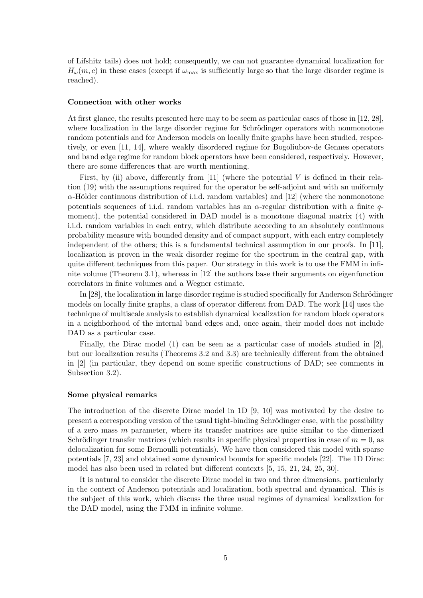of Lifshitz tails) does not hold; consequently, we can not guarantee dynamical localization for  $H_{\omega}(m, c)$  in these cases (except if  $\omega_{\text{max}}$  is sufficiently large so that the large disorder regime is reached).

#### Connection with other works

At first glance, the results presented here may to be seem as particular cases of those in [12, 28], where localization in the large disorder regime for Schrödinger operators with nonmonotone random potentials and for Anderson models on locally finite graphs have been studied, respectively, or even [11, 14], where weakly disordered regime for Bogoliubov-de Gennes operators and band edge regime for random block operators have been considered, respectively. However, there are some differences that are worth mentioning.

First, by (ii) above, differently from [11] (where the potential V is defined in their relation (19) with the assumptions required for the operator be self-adjoint and with an uniformly  $\alpha$ -Hölder continuous distribution of i.i.d. random variables) and [12] (where the nonmonotone potentials sequences of i.i.d. random variables has an  $\alpha$ -regular distribution with a finite  $\alpha$ moment), the potential considered in DAD model is a monotone diagonal matrix (4) with i.i.d. random variables in each entry, which distribute according to an absolutely continuous probability measure with bounded density and of compact support, with each entry completely independent of the others; this is a fundamental technical assumption in our proofs. In [11], localization is proven in the weak disorder regime for the spectrum in the central gap, with quite different techniques from this paper. Our strategy in this work is to use the FMM in infinite volume (Theorem 3.1), whereas in [12] the authors base their arguments on eigenfunction correlators in finite volumes and a Wegner estimate.

In  $[28]$ , the localization in large disorder regime is studied specifically for Anderson Schrödinger models on locally finite graphs, a class of operator different from DAD. The work [14] uses the technique of multiscale analysis to establish dynamical localization for random block operators in a neighborhood of the internal band edges and, once again, their model does not include DAD as a particular case.

Finally, the Dirac model (1) can be seen as a particular case of models studied in [2], but our localization results (Theorems 3.2 and 3.3) are technically different from the obtained in [2] (in particular, they depend on some specific constructions of DAD; see comments in Subsection 3.2).

### Some physical remarks

The introduction of the discrete Dirac model in 1D [9, 10] was motivated by the desire to present a corresponding version of the usual tight-binding Schrödinger case, with the possibility of a zero mass m parameter, where its transfer matrices are quite similar to the dimerized Schrödinger transfer matrices (which results in specific physical properties in case of  $m = 0$ , as delocalization for some Bernoulli potentials). We have then considered this model with sparse potentials [7, 23] and obtained some dynamical bounds for specific models [22]. The 1D Dirac model has also been used in related but different contexts [5, 15, 21, 24, 25, 30].

It is natural to consider the discrete Dirac model in two and three dimensions, particularly in the context of Anderson potentials and localization, both spectral and dynamical. This is the subject of this work, which discuss the three usual regimes of dynamical localization for the DAD model, using the FMM in infinite volume.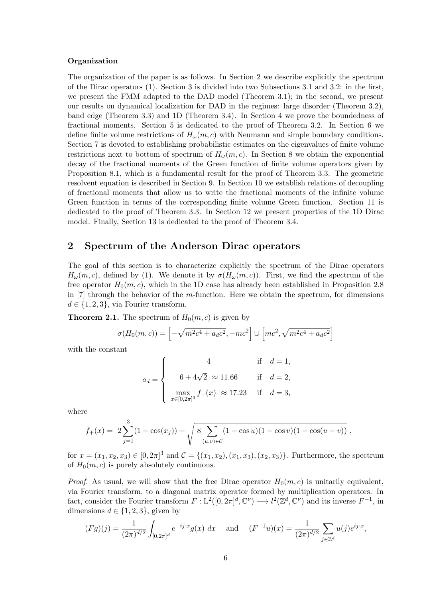### Organization

The organization of the paper is as follows. In Section 2 we describe explicitly the spectrum of the Dirac operators (1). Section 3 is divided into two Subsections 3.1 and 3.2: in the first, we present the FMM adapted to the DAD model (Theorem 3.1); in the second, we present our results on dynamical localization for DAD in the regimes: large disorder (Theorem 3.2), band edge (Theorem 3.3) and 1D (Theorem 3.4). In Section 4 we prove the boundedness of fractional moments. Section 5 is dedicated to the proof of Theorem 3.2. In Section 6 we define finite volume restrictions of  $H_{\omega}(m, c)$  with Neumann and simple boundary conditions. Section 7 is devoted to establishing probabilistic estimates on the eigenvalues of finite volume restrictions next to bottom of spectrum of  $H_{\omega}(m, c)$ . In Section 8 we obtain the exponential decay of the fractional moments of the Green function of finite volume operators given by Proposition 8.1, which is a fundamental result for the proof of Theorem 3.3. The geometric resolvent equation is described in Section 9. In Section 10 we establish relations of decoupling of fractional moments that allow us to write the fractional moments of the infinite volume Green function in terms of the corresponding finite volume Green function. Section 11 is dedicated to the proof of Theorem 3.3. In Section 12 we present properties of the 1D Dirac model. Finally, Section 13 is dedicated to the proof of Theorem 3.4.

## 2 Spectrum of the Anderson Dirac operators

The goal of this section is to characterize explicitly the spectrum of the Dirac operators  $H_{\omega}(m, c)$ , defined by (1). We denote it by  $\sigma(H_{\omega}(m, c))$ . First, we find the spectrum of the free operator  $H_0(m, c)$ , which in the 1D case has already been established in Proposition 2.8 in  $[7]$  through the behavior of the m-function. Here we obtain the spectrum, for dimensions  $d \in \{1, 2, 3\}$ , via Fourier transform.

**Theorem 2.1.** The spectrum of  $H_0(m, c)$  is given by

$$
\sigma(H_0(m, c)) = \left[ -\sqrt{m^2c^4 + a_d c^2}, -mc^2 \right] \cup \left[ mc^2, \sqrt{m^2c^4 + a_d c^2} \right]
$$

with the constant

$$
a_d = \begin{cases} \qquad \qquad 4 \qquad \qquad \text{if} \quad d = 1, \\ \qquad 6+4\sqrt{2} \; \approx 11.66 \qquad \text{if} \quad d = 2, \\ \max_{x \in [0,2\pi]^3} f_+(x) \; \approx 17.23 \quad \text{if} \quad d = 3, \end{cases}
$$

where

$$
f_{+}(x) = 2\sum_{j=1}^{3} (1 - \cos(x_j)) + \sqrt{8\sum_{(u,v)\in\mathcal{C}} (1 - \cos u)(1 - \cos v)(1 - \cos(u - v))}
$$
,

for  $x = (x_1, x_2, x_3) \in [0, 2\pi]^3$  and  $\mathcal{C} = \{(x_1, x_2), (x_1, x_3), (x_2, x_3)\}.$  Furthermore, the spectrum of  $H_0(m, c)$  is purely absolutely continuous.

*Proof.* As usual, we will show that the free Dirac operator  $H_0(m, c)$  is unitarily equivalent, via Fourier transform, to a diagonal matrix operator formed by multiplication operators. In fact, consider the Fourier transform  $F: L^2([0, 2\pi]^d, \mathbb{C}^{\nu}) \longrightarrow l^2(\mathbb{Z}^d, \mathbb{C}^{\nu})$  and its inverse  $F^{-1}$ , in dimensions  $d \in \{1, 2, 3\}$ , given by

$$
(Fg)(j) = \frac{1}{(2\pi)^{d/2}} \int_{[0,2\pi]^d} e^{-ij \cdot x} g(x) dx \quad \text{and} \quad (F^{-1}u)(x) = \frac{1}{(2\pi)^{d/2}} \sum_{j \in \mathbb{Z}^d} u(j) e^{ij \cdot x},
$$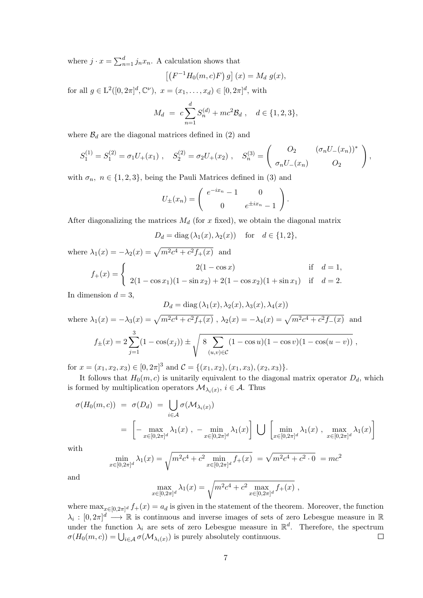where  $j \cdot x = \sum_{n=1}^{d} j_n x_n$ . A calculation shows that

$$
(F^{-1}H_0(m, c)F) g](x) = M_d g(x),
$$

for all  $g \in L^2([0, 2\pi]^d, \mathbb{C}^{\nu})$ ,  $x = (x_1, \dots, x_d) \in [0, 2\pi]^d$ , with

 $\sqrt{2}$ 

$$
M_d = c \sum_{n=1}^d S_n^{(d)} + mc^2 \mathcal{B}_d , \quad d \in \{1, 2, 3\},
$$

where  $\mathcal{B}_d$  are the diagonal matrices defined in (2) and

$$
S_1^{(1)} = S_1^{(2)} = \sigma_1 U_+(x_1) , \quad S_2^{(2)} = \sigma_2 U_+(x_2) , \quad S_n^{(3)} = \begin{pmatrix} O_2 & (\sigma_n U_-(x_n))^* \\ \sigma_n U_-(x_n) & O_2 \end{pmatrix},
$$

with  $\sigma_n$ ,  $n \in \{1, 2, 3\}$ , being the Pauli Matrices defined in (3) and

$$
U_{\pm}(x_n) = \begin{pmatrix} e^{-ix_n} - 1 & 0 \ 0 & e^{\pm ix_n} - 1 \end{pmatrix}.
$$

After diagonalizing the matrices  $M_d$  (for x fixed), we obtain the diagonal matrix

$$
D_d = \text{diag}(\lambda_1(x), \lambda_2(x)) \quad \text{for} \quad d \in \{1, 2\},
$$

where 
$$
\lambda_1(x) = -\lambda_2(x) = \sqrt{m^2 c^4 + c^2 f_+(x)}
$$
 and  
\n
$$
f_+(x) = \begin{cases} 2(1 - \cos x) & \text{if } d = 1, \\ 2(1 - \cos x_1)(1 - \sin x_2) + 2(1 - \cos x_2)(1 + \sin x_1) & \text{if } d = 2. \end{cases}
$$

In dimension  $d = 3$ ,

$$
D_d = \text{diag}(\lambda_1(x), \lambda_2(x), \lambda_3(x), \lambda_4(x))
$$
  
where  $\lambda_1(x) = -\lambda_3(x) = \sqrt{m^2c^4 + c^2f_+(x)}$ ,  $\lambda_2(x) = -\lambda_4(x) = \sqrt{m^2c^4 + c^2f_-(x)}$  and  

$$
f_{\pm}(x) = 2\sum_{j=1}^3 (1 - \cos(x_j)) \pm \sqrt{\frac{8}{(u,v)\in\mathcal{C}}(1 - \cos u)(1 - \cos v)(1 - \cos(u - v))}
$$
,

for  $x = (x_1, x_2, x_3) \in [0, 2\pi]^3$  and  $\mathcal{C} = \{(x_1, x_2), (x_1, x_3), (x_2, x_3)\}.$ 

It follows that  $H_0(m, c)$  is unitarily equivalent to the diagonal matrix operator  $D_d$ , which is formed by multiplication operators  $\mathcal{M}_{\lambda_i(x)}$ ,  $i \in \mathcal{A}$ . Thus

$$
\sigma(H_0(m, c)) = \sigma(D_d) = \bigcup_{i \in \mathcal{A}} \sigma(\mathcal{M}_{\lambda_i(x)})
$$
  
= 
$$
\left[ - \max_{x \in [0, 2\pi]^d} \lambda_1(x) , - \min_{x \in [0, 2\pi]^d} \lambda_1(x) \right] \bigcup \left[ \min_{x \in [0, 2\pi]^d} \lambda_1(x) , \max_{x \in [0, 2\pi]^d} \lambda_1(x) \right]
$$

with

$$
\min_{x \in [0,2\pi]^d} \lambda_1(x) = \sqrt{m^2 c^4 + c^2 \min_{x \in [0,2\pi]^d} f_+(x)} = \sqrt{m^2 c^4 + c^2 \cdot 0} = mc^2
$$

and

$$
\max_{x \in [0,2\pi]^d} \lambda_1(x) = \sqrt{m^2 c^4 + c^2 \max_{x \in [0,2\pi]^d} f_+(x)},
$$

where  $\max_{x \in [0,2\pi]^d} f_+(x) = a_d$  is given in the statement of the theorem. Moreover, the function  $\lambda_i : [0, 2\pi]^d \longrightarrow \mathbb{R}$  is continuous and inverse images of sets of zero Lebesgue measure in R under the function  $\lambda_i$  are sets of zero Lebesgue measure in  $\mathbb{R}^d$ . Therefore, the spectrum  $\sigma(H_0(m, c)) = \bigcup_{i \in A} \sigma(M_{\lambda_i(x)})$  is purely absolutely continuous.  $\Box$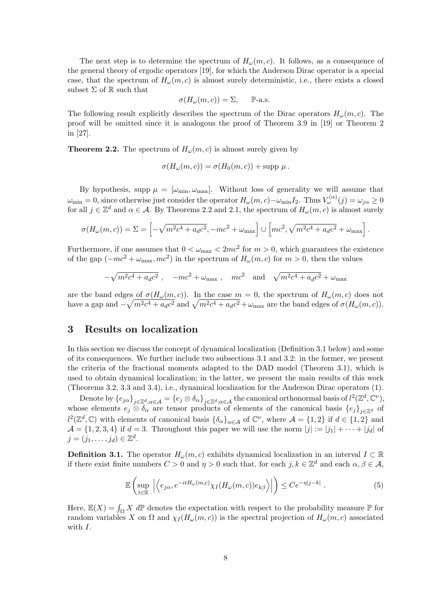The next step is to determine the spectrum of  $H_{\omega}(m, c)$ . It follows, as a consequence of the general theory of ergodic operators [19], for which the Anderson Dirac operator is a special case, that the spectrum of  $H_{\omega}(m, c)$  is almost surely deterministic, i.e., there exists a closed subset  $\Sigma$  of  $\mathbb R$  such that

$$
\sigma(H_{\omega}(m, c)) = \Sigma, \quad \mathbb{P}\text{-a.s.}
$$

The following result explicitly describes the spectrum of the Dirac operators  $H_{\omega}(m, c)$ . The proof will be omitted since it is analogous the proof of Theorem 3.9 in [19] or Theorem 2 in [27].

**Theorem 2.2.** The spectrum of  $H_{\omega}(m, c)$  is almost surely given by

$$
\sigma(H_{\omega}(m, c)) = \sigma(H_0(m, c)) + \text{supp }\mu.
$$

By hypothesis, supp  $\mu = [\omega_{\min}, \omega_{\max}]$ . Without loss of generality we will assume that  $\omega_{\rm min} = 0$ , since otherwise just consider the operator  $H_{\omega}(m, c) - \omega_{\rm min} I_2$ . Thus  $V_{\omega}^{(\alpha)}(j) = \omega_{j\alpha} \ge 0$ for all  $j \in \mathbb{Z}^d$  and  $\alpha \in \mathcal{A}$ . By Theorems 2.2 and 2.1, the spectrum of  $H_\omega(m, c)$  is almost surely

$$
\sigma(H_{\omega}(m, c)) = \Sigma = \left[ -\sqrt{m^2 c^4 + a_d c^2}, -mc^2 + \omega_{\text{max}} \right] \cup \left[ mc^2, \sqrt{m^2 c^4 + a_d c^2} + \omega_{\text{max}} \right].
$$

Furthermore, if one assumes that  $0 < \omega_{\text{max}} < 2mc^2$  for  $m > 0$ , which guarantees the existence of the gap  $(-mc^2 + \omega_{\text{max}} , mc^2)$  in the spectrum of  $H_\omega(m, c)$  for  $m > 0$ , then the values

$$
-\sqrt{m^2c^4 + a_d c^2}
$$
,  $-mc^2 + \omega_{\text{max}}$ ,  $mc^2$  and  $\sqrt{m^2c^4 + a_d c^2} + \omega_{\text{max}}$ 

are the band edges of  $\sigma(H_{\omega}(m, c))$ . In the case  $m = 0$ , the spectrum of  $H_{\omega}(m, c)$  does not have a gap and  $-\sqrt{m^2c^4 + a_d c^2}$  and  $\sqrt{m^2c^4 + a_d c^2} + \omega_{\text{max}}$  are the band edges of  $\sigma(H_\omega(m, c))$ .

# 3 Results on localization

In this section we discuss the concept of dynamical localization (Definition 3.1 below) and some of its consequences. We further include two subsections 3.1 and 3.2: in the former, we present the criteria of the fractional moments adapted to the DAD model (Theorem 3.1), which is used to obtain dynamical localization; in the latter, we present the main results of this work (Theorems 3.2, 3.3 and 3.4), i.e., dynamical localization for the Anderson Dirac operators (1).

Denote by  $\{e_{j\alpha}\}_{j\in\mathbb{Z}^d,\alpha\in\mathcal{A}} = \{e_j\otimes \delta_\alpha\}_{j\in\mathbb{Z}^d,\alpha\in\mathcal{A}}$  the canonical orthonormal basis of  $l^2(\mathbb{Z}^d,\mathbb{C}^\nu)$ , whose elements  $e_j \otimes \delta_\alpha$  are tensor products of elements of the canonical basis  $\{e_j\}_{j\in\mathbb{Z}^d}$  of  $l^2(\mathbb{Z}^d,\mathbb{C})$  with elements of canonical basis  $\{\delta_\alpha\}_{\alpha\in\mathcal{A}}$  of  $\mathbb{C}^\nu$ , where  $\mathcal{A} = \{1,2\}$  if  $d \in \{1,2\}$  and  $\mathcal{A} = \{1, 2, 3, 4\}$  if  $d = 3$ . Throughout this paper we will use the norm  $|j| := |j_1| + \cdots + |j_d|$  of  $j=(j_1,\ldots,j_d)\in\mathbb{Z}^d.$ 

**Definition 3.1.** The operator  $H_{\omega}(m, c)$  exhibits dynamical localization in an interval  $I \subset \mathbb{R}$ if there exist finite numbers  $C > 0$  and  $\eta > 0$  such that, for each  $j, k \in \mathbb{Z}^d$  and each  $\alpha, \beta \in \mathcal{A}$ ,

$$
\mathbb{E}\left(\sup_{t\in\mathbb{R}}\left|\left\langle e_{j\alpha}, e^{-itH_{\omega}(m,c)}\chi_{I}(H_{\omega}(m,c))e_{k\beta}\right\rangle\right|\right)\leq Ce^{-\eta|j-k|}.
$$
\n(5)

Here,  $\mathbb{E}(X) = \int_{\Omega} X \, d\mathbb{P}$  denotes the expectation with respect to the probability measure  $\mathbb{P}$  for random variables X on  $\Omega$  and  $\chi_I(H_\omega(m,c))$  is the spectral projection of  $H_\omega(m,c)$  associated with  $I$ .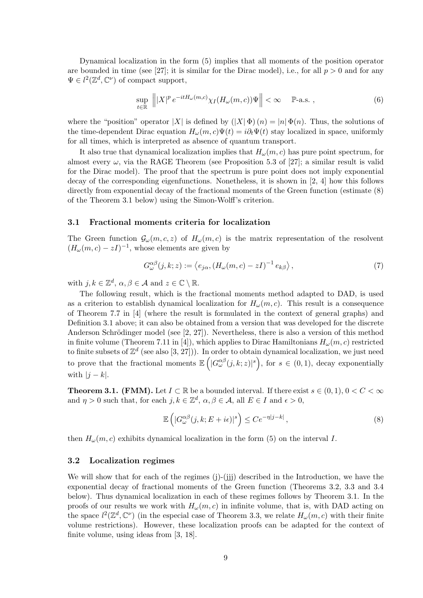Dynamical localization in the form (5) implies that all moments of the position operator are bounded in time (see [27]; it is similar for the Dirac model), i.e., for all  $p > 0$  and for any  $\Psi \in l^2(\mathbb{Z}^d, \mathbb{C}^{\nu})$  of compact support,

$$
\sup_{t \in \mathbb{R}} \left\| |X|^p e^{-itH_\omega(m,c)} \chi_I(H_\omega(m,c)) \Psi \right\| < \infty \quad \mathbb{P}\text{-a.s.} \tag{6}
$$

where the "position" operator |X| is defined by  $(|X|\Phi)(n) = |n|\Phi(n)$ . Thus, the solutions of the time-dependent Dirac equation  $H_{\omega}(m, c)\Psi(t) = i\partial_t \Psi(t)$  stay localized in space, uniformly for all times, which is interpreted as absence of quantum transport.

It also true that dynamical localization implies that  $H_{\omega}(m, c)$  has pure point spectrum, for almost every  $\omega$ , via the RAGE Theorem (see Proposition 5.3 of [27]; a similar result is valid for the Dirac model). The proof that the spectrum is pure point does not imply exponential decay of the corresponding eigenfunctions. Nonetheless, it is shown in [2, 4] how this follows directly from exponential decay of the fractional moments of the Green function (estimate (8) of the Theorem 3.1 below) using the Simon-Wolff's criterion.

### 3.1 Fractional moments criteria for localization

The Green function  $\mathcal{G}_{\omega}(m, c, z)$  of  $H_{\omega}(m, c)$  is the matrix representation of the resolvent  $(H_{\omega}(m, c) - zI)^{-1}$ , whose elements are given by

$$
G_{\omega}^{\alpha\beta}(j,k;z) := \langle e_{j\alpha}, (H_{\omega}(m,c) - zI)^{-1} e_{k\beta} \rangle, \qquad (7)
$$

with  $j, k \in \mathbb{Z}^d$ ,  $\alpha, \beta \in \mathcal{A}$  and  $z \in \mathbb{C} \setminus \mathbb{R}$ .

The following result, which is the fractional moments method adapted to DAD, is used as a criterion to establish dynamical localization for  $H_{\omega}(m, c)$ . This result is a consequence of Theorem 7.7 in [4] (where the result is formulated in the context of general graphs) and Definition 3.1 above; it can also be obtained from a version that was developed for the discrete Anderson Schrödinger model (see  $[2, 27]$ ). Nevertheless, there is also a version of this method in finite volume (Theorem 7.11 in [4]), which applies to Dirac Hamiltonians  $H_{\omega}(m, c)$  restricted to finite subsets of  $\mathbb{Z}^d$  (see also [3, 27])). In order to obtain dynamical localization, we just need to prove that the fractional moments  $\mathbb{E}\left( |G_{\omega}^{\alpha\beta}(j,k;z)|^s \right)$ , for  $s \in (0,1)$ , decay exponentially with  $|j - k|$ .

**Theorem 3.1. (FMM).** Let  $I \subset \mathbb{R}$  be a bounded interval. If there exist  $s \in (0,1)$ ,  $0 < C < \infty$ and  $\eta > 0$  such that, for each  $j, k \in \mathbb{Z}^d$ ,  $\alpha, \beta \in \mathcal{A}$ , all  $E \in I$  and  $\epsilon > 0$ ,

$$
\mathbb{E}\left(|G_{\omega}^{\alpha\beta}(j,k;E+i\epsilon)|^s\right)\leq Ce^{-\eta|j-k|},\tag{8}
$$

then  $H_{\omega}(m, c)$  exhibits dynamical localization in the form (5) on the interval I.

### 3.2 Localization regimes

We will show that for each of the regimes (j)-(jjj) described in the Introduction, we have the exponential decay of fractional moments of the Green function (Theorems 3.2, 3.3 and 3.4 below). Thus dynamical localization in each of these regimes follows by Theorem 3.1. In the proofs of our results we work with  $H_{\omega}(m, c)$  in infinite volume, that is, with DAD acting on the space  $l^2(\mathbb{Z}^d,\mathbb{C}^{\nu})$  (in the especial case of Theorem 3.3, we relate  $H_{\omega}(m,c)$  with their finite volume restrictions). However, these localization proofs can be adapted for the context of finite volume, using ideas from [3, 18].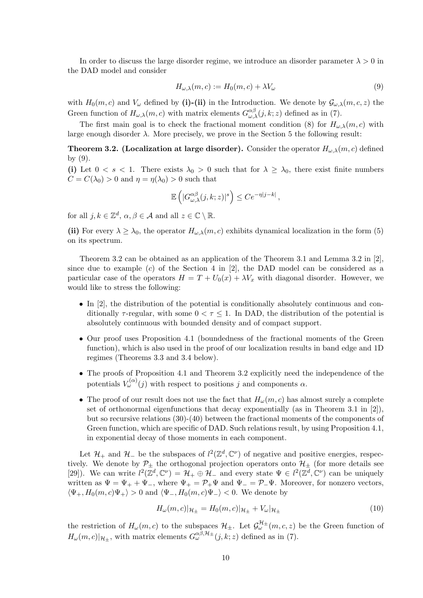In order to discuss the large disorder regime, we introduce an disorder parameter  $\lambda > 0$  in the DAD model and consider

$$
H_{\omega,\lambda}(m,c) := H_0(m,c) + \lambda V_{\omega}
$$
\n(9)

with  $H_0(m, c)$  and  $V_\omega$  defined by (i)-(ii) in the Introduction. We denote by  $\mathcal{G}_{\omega,\lambda}(m, c, z)$  the Green function of  $H_{\omega,\lambda}(m,c)$  with matrix elements  $G_{\omega,\lambda}^{\alpha\beta}(j,k;z)$  defined as in (7).

The first main goal is to check the fractional moment condition (8) for  $H_{\omega,\lambda}(m,c)$  with large enough disorder  $\lambda$ . More precisely, we prove in the Section 5 the following result:

**Theorem 3.2.** (Localization at large disorder). Consider the operator  $H_{\omega,\lambda}(m,c)$  defined by (9).

(i) Let  $0 < s < 1$ . There exists  $\lambda_0 > 0$  such that for  $\lambda \geq \lambda_0$ , there exist finite numbers  $C = C(\lambda_0) > 0$  and  $\eta = \eta(\lambda_0) > 0$  such that

$$
\mathbb{E}\left(|G_{\omega,\lambda}^{\alpha\beta}(j,k;z)|^s\right)\leq Ce^{-\eta|j-k|},
$$

for all  $j, k \in \mathbb{Z}^d$ ,  $\alpha, \beta \in \mathcal{A}$  and all  $z \in \mathbb{C} \setminus \mathbb{R}$ .

(ii) For every  $\lambda \geq \lambda_0$ , the operator  $H_{\omega,\lambda}(m,c)$  exhibits dynamical localization in the form (5) on its spectrum.

Theorem 3.2 can be obtained as an application of the Theorem 3.1 and Lemma 3.2 in [2], since due to example  $(c)$  of the Section 4 in [2], the DAD model can be considered as a particular case of the operators  $H = T + U_0(x) + \lambda V_x$  with diagonal disorder. However, we would like to stress the following:

- In [2], the distribution of the potential is conditionally absolutely continuous and conditionally  $\tau$ -regular, with some  $0 < \tau \leq 1$ . In DAD, the distribution of the potential is absolutely continuous with bounded density and of compact support.
- Our proof uses Proposition 4.1 (boundedness of the fractional moments of the Green function), which is also used in the proof of our localization results in band edge and 1D regimes (Theorems 3.3 and 3.4 below).
- The proofs of Proposition 4.1 and Theorem 3.2 explicitly need the independence of the potentials  $V_{\omega}^{(\alpha)}(j)$  with respect to positions j and components  $\alpha$ .
- The proof of our result does not use the fact that  $H_{\omega}(m, c)$  has almost surely a complete set of orthonormal eigenfunctions that decay exponentially (as in Theorem 3.1 in [2]), but so recursive relations (30)-(40) between the fractional moments of the components of Green function, which are specific of DAD. Such relations result, by using Proposition 4.1, in exponential decay of those moments in each component.

Let  $\mathcal{H}_+$  and  $\mathcal{H}_-$  be the subspaces of  $l^2(\mathbb{Z}^d, \mathbb{C}^{\nu})$  of negative and positive energies, respectively. We denote by  $\mathcal{P}_{\pm}$  the orthogonal projection operators onto  $\mathcal{H}_{\pm}$  (for more details see [29]). We can write  $l^2(\mathbb{Z}^d, \mathbb{C}^\nu) = \mathcal{H}_+ \oplus \mathcal{H}_-$  and every state  $\Psi \in l^2(\mathbb{Z}^d, \mathbb{C}^\nu)$  can be uniquely written as  $\Psi = \Psi_+ + \Psi_-,$  where  $\Psi_+ = \mathcal{P}_+ \Psi$  and  $\Psi_- = \mathcal{P}_- \Psi$ . Moreover, for nonzero vectors,  $\langle \Psi_+, H_0(m, c) \Psi_+ \rangle > 0$  and  $\langle \Psi_-, H_0(m, c) \Psi_- \rangle < 0$ . We denote by

$$
H_{\omega}(m, c)|_{\mathcal{H}_{\pm}} = H_0(m, c)|_{\mathcal{H}_{\pm}} + V_{\omega}|_{\mathcal{H}_{\pm}}
$$
\n(10)

the restriction of  $H_{\omega}(m, c)$  to the subspaces  $\mathcal{H}_{\pm}$ . Let  $\mathcal{G}_{\omega}^{\mathcal{H}_{\pm}}(m, c, z)$  be the Green function of  $H_{\omega}(m, c)|_{\mathcal{H}_{\pm}}$ , with matrix elements  $G_{\omega}^{\alpha\beta, \mathcal{H}_{\pm}}(j, k; z)$  defined as in (7).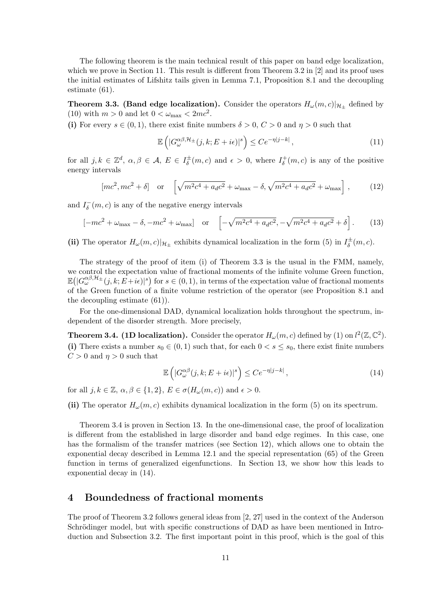The following theorem is the main technical result of this paper on band edge localization, which we prove in Section 11. This result is different from Theorem 3.2 in [2] and its proof uses the initial estimates of Lifshitz tails given in Lemma 7.1, Proposition 8.1 and the decoupling estimate (61).

**Theorem 3.3. (Band edge localization).** Consider the operators  $H_{\omega}(m, c)|_{\mathcal{H}_{\pm}}$  defined by (10) with  $m > 0$  and let  $0 < \omega_{\text{max}} < 2mc^2$ .

(i) For every  $s \in (0, 1)$ , there exist finite numbers  $\delta > 0$ ,  $C > 0$  and  $\eta > 0$  such that

$$
\mathbb{E}\left(|G_{\omega}^{\alpha\beta,\mathcal{H}_{\pm}}(j,k;E+i\epsilon)|^{s}\right) \leq Ce^{-\eta|j-k|},\tag{11}
$$

for all  $j, k \in \mathbb{Z}^d$ ,  $\alpha, \beta \in \mathcal{A}, E \in I_{\delta}^{\pm}$  $\sigma_{\delta}^{\pm}(m, c)$  and  $\epsilon > 0$ , where  $I_{\delta}^{+}$  $\sigma_{\delta}^+(m, c)$  is any of the positive energy intervals

$$
[mc^2, mc^2 + \delta]
$$
 or  $\left[\sqrt{m^2c^4 + a_d c^2} + \omega_{\text{max}} - \delta, \sqrt{m^2c^4 + a_d c^2} + \omega_{\text{max}}\right]$ , (12)

and  $I_{\delta}^ \bar{\delta}(m, c)$  is any of the negative energy intervals

$$
[-mc^{2} + \omega_{\text{max}} - \delta, -mc^{2} + \omega_{\text{max}}] \quad \text{or} \quad \left[ -\sqrt{m^{2}c^{4} + a_{d}c^{2}}, -\sqrt{m^{2}c^{4} + a_{d}c^{2}} + \delta \right]. \tag{13}
$$

(ii) The operator  $H_{\omega}(m, c)|_{\mathcal{H}_{\pm}}$  exhibits dynamical localization in the form (5) in  $I_{\delta}^{\pm}$  $\overline{\overset{\pm}{\delta}}(m,c).$ 

The strategy of the proof of item (i) of Theorem 3.3 is the usual in the FMM, namely, we control the expectation value of fractional moments of the infinite volume Green function,  $\mathbb{E}(|G_{\omega}^{\alpha\beta,\mathcal{H}_{\pm}}(j,k;E+i\epsilon)|^s)$  for  $s\in(0,1)$ , in terms of the expectation value of fractional moments of the Green function of a finite volume restriction of the operator (see Proposition 8.1 and the decoupling estimate (61)).

For the one-dimensional DAD, dynamical localization holds throughout the spectrum, independent of the disorder strength. More precisely,

**Theorem 3.4. (1D localization).** Consider the operator  $H_{\omega}(m, c)$  defined by (1) on  $l^2(\mathbb{Z}, \mathbb{C}^2)$ . (i) There exists a number  $s_0 \in (0,1)$  such that, for each  $0 < s < s_0$ , there exist finite numbers  $C > 0$  and  $\eta > 0$  such that

$$
\mathbb{E}\left(|G_{\omega}^{\alpha\beta}(j,k;E+i\epsilon)|^{s}\right) \le Ce^{-\eta|j-k|},\tag{14}
$$

for all  $j, k \in \mathbb{Z}, \alpha, \beta \in \{1, 2\}, E \in \sigma(H_{\omega}(m, c))$  and  $\epsilon > 0$ .

(ii) The operator  $H_{\omega}(m, c)$  exhibits dynamical localization in the form (5) on its spectrum.

Theorem 3.4 is proven in Section 13. In the one-dimensional case, the proof of localization is different from the established in large disorder and band edge regimes. In this case, one has the formalism of the transfer matrices (see Section 12), which allows one to obtain the exponential decay described in Lemma 12.1 and the special representation (65) of the Green function in terms of generalized eigenfunctions. In Section 13, we show how this leads to exponential decay in (14).

# 4 Boundedness of fractional moments

The proof of Theorem 3.2 follows general ideas from [2, 27] used in the context of the Anderson Schrödinger model, but with specific constructions of DAD as have been mentioned in Introduction and Subsection 3.2. The first important point in this proof, which is the goal of this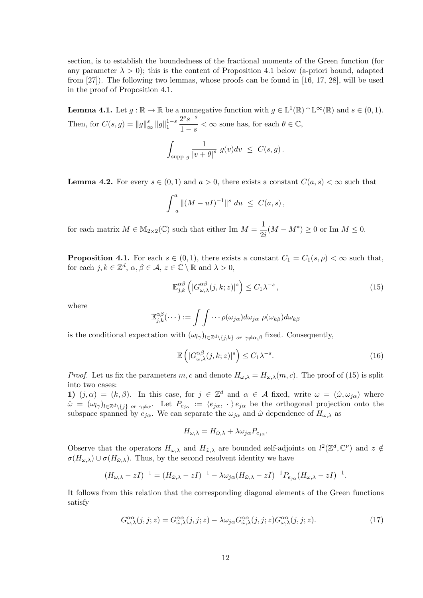section, is to establish the boundedness of the fractional moments of the Green function (for any parameter  $\lambda > 0$ ; this is the content of Proposition 4.1 below (a-priori bound, adapted from [27]). The following two lemmas, whose proofs can be found in [16, 17, 28], will be used in the proof of Proposition 4.1.

**Lemma 4.1.** Let  $g : \mathbb{R} \to \mathbb{R}$  be a nonnegative function with  $g \in L^1(\mathbb{R}) \cap L^{\infty}(\mathbb{R})$  and  $s \in (0,1)$ . Then, for  $C(s, g) = ||g||_{\infty}^{s} ||g||_{1}^{1-s}$ 1  $2^s s^{-s}$  $\frac{2}{1-s} < \infty$  sone has, for each  $\theta \in \mathbb{C}$ ,

$$
\int_{\text{supp }g}\frac{1}{|v+\theta|^s}g(v)dv \ \leq \ C(s,g)\,.
$$

**Lemma 4.2.** For every  $s \in (0,1)$  and  $a > 0$ , there exists a constant  $C(a, s) < \infty$  such that

$$
\int_{-a}^{a} \|(M - uI)^{-1}\|^{s} du \leq C(a, s),
$$

for each matrix  $M \in M_{2\times 2}(\mathbb{C})$  such that either Im  $M = \frac{1}{2}$  $\frac{1}{2i}(M - M^*) \ge 0$  or Im  $M \le 0$ .

**Proposition 4.1.** For each  $s \in (0,1)$ , there exists a constant  $C_1 = C_1(s,\rho) < \infty$  such that, for each  $j, k \in \mathbb{Z}^d$ ,  $\alpha, \beta \in \mathcal{A}, z \in \mathbb{C} \setminus \mathbb{R}$  and  $\lambda > 0$ ,

$$
\mathbb{E}_{j,k}^{\alpha\beta} \left( |G_{\omega,\lambda}^{\alpha\beta}(j,k;z)|^s \right) \le C_1 \lambda^{-s} \,, \tag{15}
$$

where

$$
\mathbb{E}_{j,k}^{\alpha\beta}(\cdots):=\int\int\cdots \rho(\omega_{j\alpha})d\omega_{j\alpha}\,\,\rho(\omega_{k\beta})d\omega_{k\beta}
$$

is the conditional expectation with  $(\omega_{l\gamma})_{l\in\mathbb{Z}^d\setminus\{j,k\}}$  or  $\gamma\neq\alpha,\beta$  fixed. Consequently,

$$
\mathbb{E}\left(|G_{\omega,\lambda}^{\alpha\beta}(j,k;z)|^{s}\right) \leq C_{1}\lambda^{-s}.\tag{16}
$$

*Proof.* Let us fix the parameters m, c and denote  $H_{\omega,\lambda} = H_{\omega,\lambda}(m, c)$ . The proof of (15) is split into two cases:

1)  $(j, \alpha) = (k, \beta)$ . In this case, for  $j \in \mathbb{Z}^d$  and  $\alpha \in \mathcal{A}$  fixed, write  $\omega = (\hat{\omega}, \omega_{j\alpha})$  where  $\hat{\omega} = (\omega_{l\gamma})_{l\in\mathbb{Z}^d\setminus\{j\}}$  or  $\gamma\neq\alpha$ . Let  $P_{e_{j\alpha}} := \langle e_{j\alpha}, \cdot \rangle e_{j\alpha}$  be the orthogonal projection onto the subspace spanned by  $e_{j\alpha}$ . We can separate the  $\omega_{j\alpha}$  and  $\hat{\omega}$  dependence of  $H_{\omega,\lambda}$  as

$$
H_{\omega,\lambda} = H_{\hat{\omega},\lambda} + \lambda \omega_{j\alpha} P_{e_{j\alpha}}.
$$

Observe that the operators  $H_{\omega,\lambda}$  and  $H_{\hat{\omega},\lambda}$  are bounded self-adjoints on  $l^2(\mathbb{Z}^d,\mathbb{C}^{\nu})$  and  $z \notin$  $\sigma(H_{\omega,\lambda}) \cup \sigma(H_{\omega,\lambda})$ . Thus, by the second resolvent identity we have

$$
(H_{\omega,\lambda} - zI)^{-1} = (H_{\hat{\omega},\lambda} - zI)^{-1} - \lambda \omega_{j\alpha} (H_{\hat{\omega},\lambda} - zI)^{-1} P_{e_{j\alpha}} (H_{\omega,\lambda} - zI)^{-1}.
$$

It follows from this relation that the corresponding diagonal elements of the Green functions satisfy

$$
G^{\alpha\alpha}_{\omega,\lambda}(j,j;z) = G^{\alpha\alpha}_{\hat{\omega},\lambda}(j,j;z) - \lambda \omega_{j\alpha} G^{\alpha\alpha}_{\hat{\omega},\lambda}(j,j;z) G^{\alpha\alpha}_{\omega,\lambda}(j,j;z). \tag{17}
$$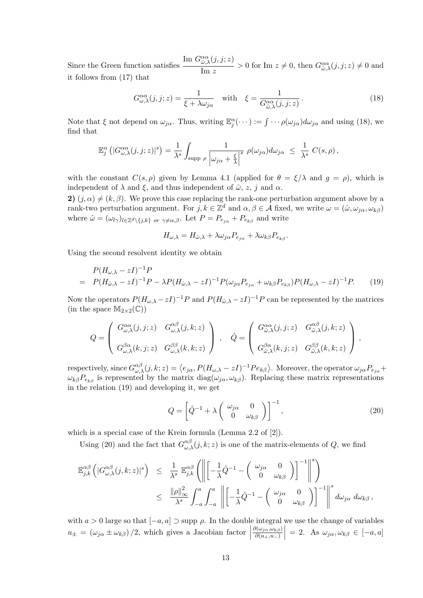Since the Green function satisfies Im  $G^{\alpha\alpha}_{\hat{\omega},\lambda}(j,j;z)$  $\frac{\partial \partial \lambda}(y, y, z)}{\lim z} > 0$  for Im  $z \neq 0$ , then  $G^{\alpha\alpha}_{\hat{\omega},\lambda}(j, j; z) \neq 0$  and it follows from (17) that

$$
G_{\omega,\lambda}^{\alpha\alpha}(j,j;z) = \frac{1}{\xi + \lambda\omega_{j\alpha}} \quad \text{with} \quad \xi = \frac{1}{G_{\hat{\omega},\lambda}^{\alpha\alpha}(j,j;z)}.
$$
 (18)

Note that  $\xi$  not depend on  $\omega_{j\alpha}$ . Thus, writing  $\mathbb{E}_{j}^{\alpha}(\cdots) := \int \cdots \rho(\omega_{j\alpha}) d\omega_{j\alpha}$  and using (18), we find that

$$
\mathbb{E}_{j}^{\alpha}\left(|G_{\omega,\lambda}^{\alpha\alpha}(j,j;z)|^{s}\right) = \frac{1}{\lambda^{s}} \int_{\text{supp }\rho} \frac{1}{\left|\omega_{j\alpha} + \frac{\xi}{\lambda}\right|^{s}} \rho(\omega_{j\alpha}) d\omega_{j\alpha} \leq \frac{1}{\lambda^{s}} C(s,\rho),
$$

with the constant  $C(s, \rho)$  given by Lemma 4.1 (applied for  $\theta = \xi/\lambda$  and  $g = \rho$ ), which is independent of  $\lambda$  and  $\xi$ , and thus independent of  $\hat{\omega}$ , z, j and  $\alpha$ .

2)  $(i, \alpha) \neq (k, \beta)$ . We prove this case replacing the rank-one perturbation argument above by a rank-two perturbation argument. For  $j, k \in \mathbb{Z}^d$  and  $\alpha, \beta \in \mathcal{A}$  fixed, we write  $\omega = (\hat{\omega}, \omega_{j\alpha}, \omega_{k\beta})$ where  $\hat{\omega} = (\omega_{l\gamma})_{l\in\mathbb{Z}^d\backslash\{j,k\}}$  or  $\gamma\neq\alpha,\beta$ . Let  $P = P_{e_{j\alpha}} + P_{e_{k\beta}}$  and write

$$
H_{\omega,\lambda} = H_{\hat{\omega},\lambda} + \lambda \omega_{j\alpha} P_{e_{j\alpha}} + \lambda \omega_{k\beta} P_{e_{k\beta}}.
$$

Using the second resolvent identity we obtain

$$
P(H_{\omega,\lambda} - zI)^{-1}P
$$
  
=  $P(H_{\hat{\omega},\lambda} - zI)^{-1}P - \lambda P(H_{\hat{\omega},\lambda} - zI)^{-1}P(\omega_{j\alpha}P_{e_{j\alpha}} + \omega_{k\beta}P_{e_{k\beta}})P(H_{\omega,\lambda} - zI)^{-1}P.$  (19)

Now the operators  $P(H_{\omega,\lambda}-zI)^{-1}P$  and  $P(H_{\hat{\omega},\lambda}-zI)^{-1}P$  can be represented by the matrices (in the space  $M_{2\times 2}(\mathbb{C})$ )

$$
Q = \left( \begin{array}{cc} G_{\omega,\lambda}^{\alpha\alpha}(j,j;z) & G_{\omega,\lambda}^{\alpha\beta}(j,k;z) \\ G_{\omega,\lambda}^{\beta\alpha}(k,j;z) & G_{\omega,\lambda}^{\beta\beta}(k,k;z) \end{array} \right) \; , \quad \hat{Q} = \left( \begin{array}{cc} G_{\hat{\omega},\lambda}^{\alpha\alpha}(j,j;z) & G_{\hat{\omega},\lambda}^{\alpha\beta}(j,k;z) \\ G_{\hat{\omega},\lambda}^{\beta\alpha}(k,j;z) & G_{\hat{\omega},\lambda}^{\beta\beta}(k,k;z) \end{array} \right) \; ,
$$

respectively, since  $G^{\alpha\beta}_{\omega,\lambda}(j,k;z) = \langle e_{j\alpha}, P(H_{\omega,\lambda} - zI)^{-1}Pe_{k\beta} \rangle$ . Moreover, the operator  $\omega_{j\alpha}P_{e_{j\alpha}} +$  $\omega_{k\beta}P_{e_{k\beta}}$  is represented by the matrix diag $(\omega_{j\alpha}, \omega_{k\beta})$ . Replacing these matrix representations in the relation (19) and developing it, we get

$$
Q = \left[ \hat{Q}^{-1} + \lambda \begin{pmatrix} \omega_{j\alpha} & 0\\ 0 & \omega_{k\beta} \end{pmatrix} \right]^{-1},
$$
\n(20)

which is a special case of the Krein formula (Lemma 2.2 of [2]).

Using (20) and the fact that  $G^{\alpha\beta}_{\omega,\lambda}(j,k;z)$  is one of the matrix-elements of Q, we find

$$
\begin{array}{rcl}\mathbb{E}_{j,k}^{\alpha\beta}\left(|G_{\omega,\lambda}^{\alpha\beta}(j,k;z)|^s\right) & \leq & \frac{1}{\lambda^s}\;\mathbb{E}_{j,k}^{\alpha\beta}\left(\left\|\left[-\frac{1}{\lambda}\hat{Q}^{-1}-\left(\begin{array}{cc} \omega_{j\alpha} & 0 \\ 0 & \omega_{k\beta} \end{array}\right)\right]^{-1}\right\|^{s}\right) \\
& \leq & \frac{\|\rho\|_\infty^2}{\lambda^s}\int_{-a}^a\int_{-a}^a\left\|\left[-\frac{1}{\lambda}\hat{Q}^{-1}-\left(\begin{array}{cc} \omega_{j\alpha} & 0 \\ 0 & \omega_{k\beta} \end{array}\right)\right]^{-1}\right\|^{s}d\omega_{j\alpha}\;d\omega_{k\beta}\,,\end{array}
$$

with  $a > 0$  large so that  $[-a, a] \supset \text{supp }\rho$ . In the double integral we use the change of variables  $u_{\pm} = (\omega_{j\alpha} \pm \omega_{k\beta})/2$ , which gives a Jacobian factor |  $\partial(\omega_{j\alpha},\omega_{k\beta})$  $\partial(u_+,u_-)$  $\Big| = 2.$  As  $\omega_{j\alpha}, \omega_{k\beta} \in [-a, a]$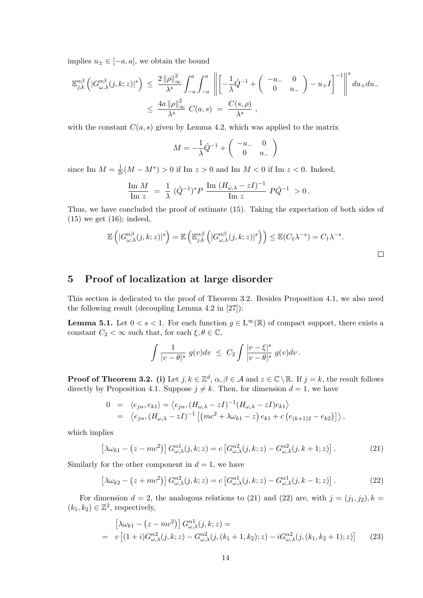implies  $u_{\pm} \in [-a, a]$ , we obtain the bound

$$
\mathbb{E}_{j,k}^{\alpha\beta}\left(|G_{\omega,\lambda}^{\alpha\beta}(j,k;z)|^s\right) \leq \frac{2\left\|\rho\right\|_{\infty}^2}{\lambda^s} \int_{-a}^a \int_{-a}^a \left\|\left[-\frac{1}{\lambda}\hat{Q}^{-1} + \left(\begin{array}{cc} -u_- & 0\\ 0 & u_- \end{array}\right) - u_+I\right]^{-1}\right\|^{s} du_+ du_-
$$
  

$$
\leq \frac{4a\left\|\rho\right\|_{\infty}^2}{\lambda^s} C(a,s) = \frac{C(s,\rho)}{\lambda^s} ,
$$

with the constant  $C(a, s)$  given by Lemma 4.2, which was applied to the matrix

$$
M = -\frac{1}{\lambda}\hat{Q}^{-1} + \begin{pmatrix} -u_- & 0\\ 0 & u_- \end{pmatrix}
$$

since Im  $M=\frac{1}{2}$  $\frac{1}{2i}(M - M^*) > 0$  if Im  $z > 0$  and Im  $M < 0$  if Im  $z < 0$ . Indeed,

$$
\frac{\text{Im } M}{\text{Im } z} = \frac{1}{\lambda} \ (\hat{Q}^{-1})^* P \ \frac{\text{Im } (H_{\hat{\omega},\lambda} - zI)^{-1}}{\text{Im } z} \ P \hat{Q}^{-1} > 0.
$$

Thus, we have concluded the proof of estimate (15). Taking the expectation of both sides of  $(15)$  we get  $(16)$ ; indeed,

$$
\mathbb{E}\left(|G_{\omega,\lambda}^{\alpha\beta}(j,k;z)|^{s}\right) = \mathbb{E}\left(\mathbb{E}_{j,k}^{\alpha\beta}\left(|G_{\omega,\lambda}^{\alpha\beta}(j,k;z)|^{s}\right)\right) \leq \mathbb{E}(C_{1}\lambda^{-s}) = C_{1}\lambda^{-s}.
$$

# 5 Proof of localization at large disorder

This section is dedicated to the proof of Theorem 3.2. Besides Proposition 4.1, we also need the following result (decoupling Lemma 4.2 in [27]):

**Lemma 5.1.** Let  $0 < s < 1$ . For each function  $g \in L^{\infty}(\mathbb{R})$  of compact support, there exists a constant  $C_2 < \infty$  such that, for each  $\xi, \theta \in \mathbb{C}$ ,

$$
\int \frac{1}{|v-\theta|^s} g(v) dv \ \leq \ C_2 \int \frac{|v-\xi|^s}{|v-\theta|^s} g(v) dv \, .
$$

**Proof of Theorem 3.2.** (i) Let  $j, k \in \mathbb{Z}^d$ ,  $\alpha, \beta \in \mathcal{A}$  and  $z \in \mathbb{C} \setminus \mathbb{R}$ . If  $j = k$ , the result follows directly by Proposition 4.1. Suppose  $j \neq k$ . Then, for dimension  $d = 1$ , we have

$$
0 = \langle e_{j\alpha}, e_{k1} \rangle = \langle e_{j\alpha}, (H_{\omega,\lambda} - zI)^{-1} (H_{\omega,\lambda} - zI) e_{k1} \rangle
$$
  
=  $\langle e_{j\alpha}, (H_{\omega,\lambda} - zI)^{-1} [(mc^2 + \lambda \omega_{k1} - z) e_{k1} + c (e_{(k+1)2} - e_{k2})] \rangle$ ,

which implies

$$
\left[\lambda\omega_{k1} - \left(z - mc^2\right)\right] G^{\alpha 1}_{\omega,\lambda}(j,k;z) = c \left[G^{\alpha 2}_{\omega,\lambda}(j,k;z) - G^{\alpha 2}_{\omega,\lambda}(j,k+1;z)\right].\tag{21}
$$

Similarly for the other component in  $d = 1$ , we have

$$
\left[\lambda\omega_{k2} - \left(z + mc^2\right)\right] G^{\alpha 2}_{\omega,\lambda}(j,k;z) = c \left[G^{\alpha 1}_{\omega,\lambda}(j,k;z) - G^{\alpha 1}_{\omega,\lambda}(j,k-1;z)\right].\tag{22}
$$

For dimension  $d = 2$ , the analogous relations to (21) and (22) are, with  $j = (j_1, j_2), k =$  $(k_1, k_2) \in \mathbb{Z}^2$ , respectively,

$$
\begin{aligned}\n\left[\lambda\omega_{k1} - (z - mc^2)\right] G_{\omega,\lambda}^{\alpha 1}(j,k;z) &= \\
&= c \left[ (1+i)G_{\omega,\lambda}^{\alpha 2}(j,k;z) - G_{\omega,\lambda}^{\alpha 2}(j,(k_1+1,k_2);z) - iG_{\omega,\lambda}^{\alpha 2}(j,(k_1,k_2+1);z) \right]\n\end{aligned} \tag{23}
$$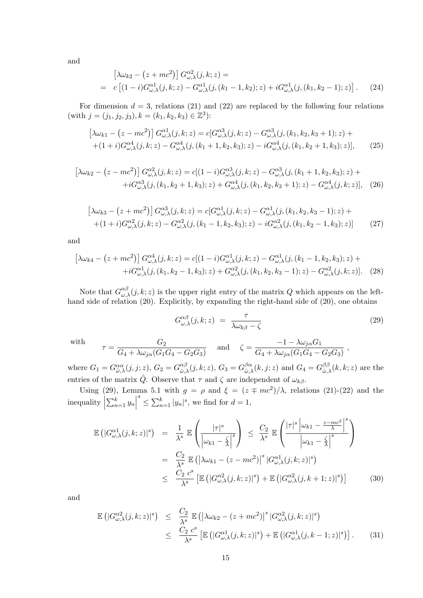and

$$
\begin{aligned}\n\left[\lambda\omega_{k2} - \left(z + mc^2\right)\right] G_{\omega,\lambda}^{c2}(j,k;z) &= \\
&= c \left[ (1-i)G_{\omega,\lambda}^{c1}(j,k;z) - G_{\omega,\lambda}^{c1}(j,(k_1-1,k_2);z) + iG_{\omega,\lambda}^{c1}(j,(k_1,k_2-1);z) \right].\n\end{aligned} \tag{24}
$$

For dimension  $d = 3$ , relations (21) and (22) are replaced by the following four relations (with  $j = (j_1, j_2, j_3), k = (k_1, k_2, k_3) \in \mathbb{Z}^3$ ):

$$
\left[\lambda\omega_{k1} - (z - mc^2)\right] G_{\omega,\lambda}^{\alpha 1}(j,k;z) = c[G_{\omega,\lambda}^{\alpha 3}(j,k;z) - G_{\omega,\lambda}^{\alpha 3}(j,(k_1,k_2,k_3+1);z) + (1+i)G_{\omega,\lambda}^{\alpha 4}(j,k;z) - G_{\omega,\lambda}^{\alpha 4}(j,(k_1+1,k_2,k_3);z) - iG_{\omega,\lambda}^{\alpha 4}(j,(k_1,k_2+1,k_3);z)],\tag{25}
$$

$$
\left[\lambda\omega_{k2} - (z - mc^2)\right] G_{\omega,\lambda}^{\alpha 2}(j,k;z) = c[(1 - i)G_{\omega,\lambda}^{\alpha 3}(j,k;z) - G_{\omega,\lambda}^{\alpha 3}(j,(k_1 + 1, k_2, k_3);z) ++iG_{\omega,\lambda}^{\alpha 3}(j,(k_1, k_2 + 1, k_3);z) + G_{\omega,\lambda}^{\alpha 4}(j,(k_1, k_2, k_3 + 1);z) - G_{\omega,\lambda}^{\alpha 4}(j,k;z)],
$$
 (26)

$$
[\lambda\omega_{k3} - (z + mc^2)] G^{\alpha 3}_{\omega,\lambda}(j,k;z) = c[G^{\alpha 1}_{\omega,\lambda}(j,k;z) - G^{\alpha 1}_{\omega,\lambda}(j,(k_1,k_2,k_3-1);z) ++(1+i)G^{\alpha 2}_{\omega,\lambda}(j,k;z) - G^{\alpha 2}_{\omega,\lambda}(j,(k_1-1,k_2,k_3);z) - iG^{\alpha 2}_{\omega,\lambda}(j,(k_1,k_2-1,k_3);z)]
$$
(27)

and

$$
\left[\lambda\omega_{k4} - \left(z + mc^2\right)\right] G^{\alpha 4}_{\omega,\lambda}(j,k;z) = c[(1-i)G^{\alpha 1}_{\omega,\lambda}(j,k;z) - G^{\alpha 1}_{\omega,\lambda}(j,(k_1 - 1, k_2, k_3);z) ++iG^{\alpha 1}_{\omega,\lambda}(j,(k_1, k_2 - 1, k_3);z) + G^{\alpha 2}_{\omega,\lambda}(j,(k_1, k_2, k_3 - 1);z) - G^{\alpha 2}_{\omega,\lambda}(j,k;z)].
$$
 (28)

Note that  $G_{\omega,\lambda}^{\alpha\beta}(j,k;z)$  is the upper right entry of the matrix  $Q$  which appears on the lefthand side of relation (20). Explicitly, by expanding the right-hand side of (20), one obtains

$$
G_{\omega,\lambda}^{\alpha\beta}(j,k;z) = \frac{\tau}{\lambda\omega_{k\beta} - \zeta}
$$
\n(29)

,

with

$$
\tau = \frac{G_2}{G_4 + \lambda \omega_{j\alpha} (G_1 G_4 - G_2 G_3)} \quad \text{and} \quad \zeta = \frac{-1 - \lambda \omega_{j\alpha} G_1}{G_4 + \lambda \omega_{j\alpha} (G_1 G_4 - G_2 G_3)}
$$

where  $G_1 = G^{\alpha\alpha}_{\hat{\omega},\lambda}(j,j;z)$ ,  $G_2 = G^{\alpha\beta}_{\hat{\omega},\lambda}$  $\alpha_{\hat{\omega},\lambda}^{\alpha\beta}(j,k;z),\,G_3=G_{\hat{\omega},\hat{\lambda}}^{\beta\alpha}$  $^{\beta\alpha}_{\hat\omega,\lambda}(k,j;z) \text{ and } G_4=G^{\beta\beta}_{\hat\omega,1}$  $\int_{\hat{\omega},\lambda}^{\beta\beta}(k,k;z)$  are the entries of the matrix  $\hat{Q}$ . Observe that  $\tau$  and  $\zeta$  are independent of  $\omega_{k\beta}$ .

Using (29), Lemma 5.1 with  $g = \rho$  and  $\xi = (z \mp mc^2)/\lambda$ , relations (21)-(22) and the  $\text{inequality}$  $\sum_{n=1}^{k} y_n$  $s \leq \sum_{n=1}^{k} |y_n|^s$ , we find for  $d = 1$ ,

$$
\mathbb{E}\left(|G_{\omega,\lambda}^{\alpha 1}(j,k;z)|^{s}\right) = \frac{1}{\lambda^{s}} \mathbb{E}\left(\frac{|\tau|^{s}}{\left|\omega_{k1} - \frac{\zeta}{\lambda}\right|^{s}}\right) \leq \frac{C_{2}}{\lambda^{s}} \mathbb{E}\left(\frac{|\tau|^{s}\left|\omega_{k1} - \frac{z - mc^{2}}{\lambda}\right|^{s}}{\left|\omega_{k1} - \frac{\zeta}{\lambda}\right|^{s}}\right)
$$

$$
= \frac{C_{2}}{\lambda^{s}} \mathbb{E}\left(\left|\lambda\omega_{k1} - (z - mc^{2})\right|^{s}|G_{\omega,\lambda}^{\alpha 1}(j,k;z)|^{s}\right)
$$

$$
\leq \frac{C_{2} c^{s}}{\lambda^{s}} \left[\mathbb{E}\left(|G_{\omega,\lambda}^{\alpha 2}(j,k;z)|^{s}\right) + \mathbb{E}\left(|G_{\omega,\lambda}^{\alpha 2}(j,k+1;z)|^{s}\right)\right]
$$
(30)

and

$$
\mathbb{E}\left(|G_{\omega,\lambda}^{\alpha2}(j,k;z)|^s\right) \leq \frac{C_2}{\lambda^s} \mathbb{E}\left(|\lambda\omega_{k2} - (z + mc^2)|^s |G_{\omega,\lambda}^{\alpha2}(j,k;z)|^s\right)
$$
  

$$
\leq \frac{C_2 c^s}{\lambda^s} \left[\mathbb{E}\left(|G_{\omega,\lambda}^{\alpha1}(j,k;z)|^s\right) + \mathbb{E}\left(|G_{\omega,\lambda}^{\alpha1}(j,k-1;z)|^s\right)\right].
$$
 (31)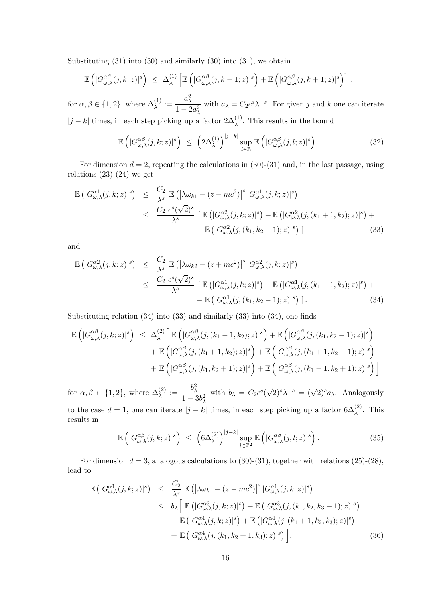Substituting  $(31)$  into  $(30)$  and similarly  $(30)$  into  $(31)$ , we obtain

$$
\mathbb{E}\left(|G_{\omega,\lambda}^{\alpha\beta}(j,k;z)|^s\right) \leq \Delta_{\lambda}^{(1)}\left[\mathbb{E}\left(|G_{\omega,\lambda}^{\alpha\beta}(j,k-1;z)|^s\right)+\mathbb{E}\left(|G_{\omega,\lambda}^{\alpha\beta}(j,k+1;z)|^s\right)\right],
$$

for  $\alpha, \beta \in \{1, 2\}$ , where  $\Delta_{\lambda}^{(1)} := \frac{a_{\lambda}^2}{1 - \beta_{\lambda}}$  $1-2a_\lambda^2$ with  $a_{\lambda} = C_2 c^s \lambda^{-s}$ . For given j and k one can iterate  $|j - k|$  times, in each step picking up a factor  $2\Delta_{\lambda}^{(1)}$ . This results in the bound

$$
\mathbb{E}\left(|G_{\omega,\lambda}^{\alpha\beta}(j,k;z)|^s\right) \leq \left(2\Delta_{\lambda}^{(1)}\right)^{|j-k|} \sup_{l\in\mathbb{Z}} \mathbb{E}\left(|G_{\omega,\lambda}^{\alpha\beta}(j,l;z)|^s\right). \tag{32}
$$

For dimension  $d = 2$ , repeating the calculations in (30)-(31) and, in the last passage, using relations  $(23)-(24)$  we get

$$
\mathbb{E}\left(|G_{\omega,\lambda}^{\alpha 1}(j,k;z)|^{s}\right) \leq \frac{C_{2}}{\lambda^{s}} \mathbb{E}\left(|\lambda\omega_{k1}-(z-mc^{2})|^{s}|G_{\omega,\lambda}^{\alpha 1}(j,k;z)|^{s}\right)
$$
  

$$
\leq \frac{C_{2}}{\lambda^{s}} \mathbb{E}\left(|G_{\omega,\lambda}^{\alpha 2}(j,k;z)|^{s}\right) + \mathbb{E}\left(|G_{\omega,\lambda}^{\alpha 2}(j,(k_{1}+1,k_{2});z)|^{s}\right) + \mathbb{E}\left(|G_{\omega,\lambda}^{\alpha 2}(j,(k_{1},k_{2}+1);z)|^{s}\right) + \mathbb{E}\left(|G_{\omega,\lambda}^{\alpha 2}(j,(k_{1},k_{2}+1);z)|^{s}\right) \tag{33}
$$

and

$$
\mathbb{E}\left(|G_{\omega,\lambda}^{\alpha2}(j,k;z)|^s\right) \leq \frac{C_2}{\lambda^s} \mathbb{E}\left(|\lambda\omega_{k2} - (z + mc^2)|^s |G_{\omega,\lambda}^{\alpha2}(j,k;z)|^s\right)
$$
  

$$
\leq \frac{C_2}{\lambda^s} \mathbb{E}\left(|G_{\omega,\lambda}^{\alpha1}(j,k;z)|^s\right) + \mathbb{E}\left(|G_{\omega,\lambda}^{\alpha1}(j,(k_1 - 1,k_2);z)|^s\right) + \mathbb{E}\left(|G_{\omega,\lambda}^{\alpha1}(j,(k_1,k_2-1);z)|^s\right) + \mathbb{E}\left(|G_{\omega,\lambda}^{\alpha1}(j,(k_1,k_2-1);z)|^s\right).
$$
 (34)

Substituting relation (34) into (33) and similarly (33) into (34), one finds

$$
\mathbb{E}\left(|G_{\omega,\lambda}^{\alpha\beta}(j,k;z)|^{s}\right) \leq \Delta_{\lambda}^{(2)}\Big[\mathbb{E}\left(|G_{\omega,\lambda}^{\alpha\beta}(j,(k_{1}-1,k_{2});z)|^{s}\right) + \mathbb{E}\left(|G_{\omega,\lambda}^{\alpha\beta}(j,(k_{1},k_{2}-1);z)|^{s}\right) \n+ \mathbb{E}\left(|G_{\omega,\lambda}^{\alpha\beta}(j,(k_{1}+1,k_{2});z)|^{s}\right) + \mathbb{E}\left(|G_{\omega,\lambda}^{\alpha\beta}(j,(k_{1}+1,k_{2}-1);z)|^{s}\right) \n+ \mathbb{E}\left(|G_{\omega,\lambda}^{\alpha\beta}(j,(k_{1},k_{2}+1);z)|^{s}\right) + \mathbb{E}\left(|G_{\omega,\lambda}^{\alpha\beta}(j,(k_{1}-1,k_{2}+1);z)|^{s}\right)\Big]
$$

for  $\alpha, \beta \in \{1, 2\}$ , where  $\Delta_{\lambda}^{(2)} := \frac{b_{\lambda}^2}{1 - \frac{b_{\lambda}^2}{2}}$  $1-3b_\lambda^2$ with  $b_{\lambda} = C_2 c^s$  $(\sqrt{2})^s \lambda^{-s} = (\sqrt{2})^s a_\lambda$ . Analogously to the case  $d = 1$ , one can iterate  $|j - k|$  times, in each step picking up a factor  $6\Delta_{\lambda}^{(2)}$ . This results in

$$
\mathbb{E}\left(|G_{\omega,\lambda}^{\alpha\beta}(j,k;z)|^s\right) \leq \left(6\Delta_{\lambda}^{(2)}\right)^{|j-k|} \sup_{l\in\mathbb{Z}^2} \mathbb{E}\left(|G_{\omega,\lambda}^{\alpha\beta}(j,l;z)|^s\right). \tag{35}
$$

For dimension  $d = 3$ , analogous calculations to (30)-(31), together with relations (25)-(28), lead to

$$
\mathbb{E}\left(|G_{\omega,\lambda}^{\alpha 1}(j,k;z)|^{s}\right) \leq \frac{C_{2}}{\lambda^{s}} \mathbb{E}\left(|\lambda\omega_{k1}-(z-mc^{2})|^{s}|G_{\omega,\lambda}^{\alpha 1}(j,k;z)|^{s}\right)
$$
  
\n
$$
\leq b_{\lambda}\left[\mathbb{E}\left(|G_{\omega,\lambda}^{\alpha 3}(j,k;z)|^{s}\right)+\mathbb{E}\left(|G_{\omega,\lambda}^{\alpha 3}(j,(k_{1},k_{2},k_{3}+1);z)|^{s}\right)\right]
$$
  
\n
$$
+\mathbb{E}\left(|G_{\omega,\lambda}^{\alpha 4}(j,k;z)|^{s}\right)+\mathbb{E}\left(|G_{\omega,\lambda}^{\alpha 4}(j,(k_{1}+1,k_{2},k_{3});z)|^{s}\right)
$$
  
\n
$$
+\mathbb{E}\left(|G_{\omega,\lambda}^{\alpha 4}(j,(k_{1},k_{2}+1,k_{3});z)|^{s}\right), \tag{36}
$$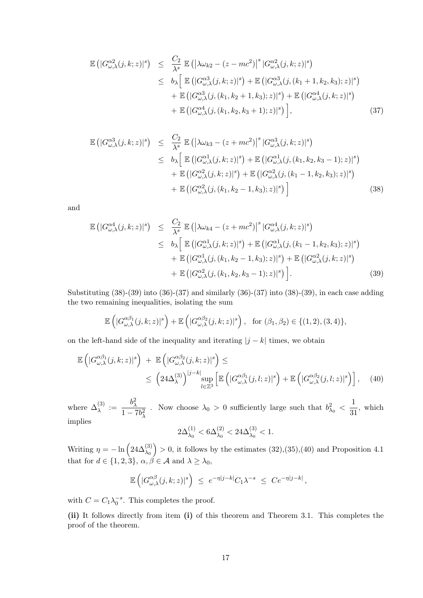$$
\mathbb{E}\left(|G_{\omega,\lambda}^{\alpha2}(j,k;z)|^{s}\right) \leq \frac{C_{2}}{\lambda^{s}} \mathbb{E}\left(|\lambda\omega_{k2} - (z - mc^{2})|^{s}|G_{\omega,\lambda}^{\alpha2}(j,k;z)|^{s}\right) \leq b_{\lambda} \left[\mathbb{E}\left(|G_{\omega,\lambda}^{\alpha3}(j,k;z)|^{s}\right) + \mathbb{E}\left(|G_{\omega,\lambda}^{\alpha3}(j,(k_{1}+1,k_{2},k_{3});z)|^{s}\right) \quad + \mathbb{E}\left(|G_{\omega,\lambda}^{\alpha3}(j,(k_{1},k_{2}+1,k_{3});z)|^{s}\right) + \mathbb{E}\left(|G_{\omega,\lambda}^{\alpha4}(j,(k_{1},k_{2},k_{3}+1);z)|^{s}\right) \right] \quad + \mathbb{E}\left(|G_{\omega,\lambda}^{\alpha4}(j,(k_{1},k_{2},k_{3}+1);z)|^{s}\right), \tag{37}
$$

$$
\mathbb{E}\left(|G_{\omega,\lambda}^{\alpha3}(j,k;z)|^{s}\right) \leq \frac{C_{2}}{\lambda^{s}} \mathbb{E}\left(|\lambda\omega_{k3} - (z + mc^{2})|^{s}|G_{\omega,\lambda}^{\alpha3}(j,k;z)|^{s}\right) \leq b_{\lambda} \left[\mathbb{E}\left(|G_{\omega,\lambda}^{\alpha1}(j,k;z)|^{s}\right) + \mathbb{E}\left(|G_{\omega,\lambda}^{\alpha1}(j,(k_{1},k_{2},k_{3}-1);z)|^{s}\right) \quad + \mathbb{E}\left(|G_{\omega,\lambda}^{\alpha2}(j,k;z)|^{s}\right) + \mathbb{E}\left(|G_{\omega,\lambda}^{\alpha2}(j,(k_{1}-1,k_{2},k_{3});z)|^{s}\right) \quad + \mathbb{E}\left(|G_{\omega,\lambda}^{\alpha2}(j,(k_{1},k_{2}-1,k_{3});z)|^{s}\right) \right]
$$
\n(38)

and

$$
\mathbb{E}\left(|G_{\omega,\lambda}^{\alpha 4}(j,k;z)|^{s}\right) \leq \frac{C_{2}}{\lambda^{s}} \mathbb{E}\left(|\lambda\omega_{k4}-(z+mc^{2})|^{s}|G_{\omega,\lambda}^{\alpha 4}(j,k;z)|^{s}\right)
$$
  
\n
$$
\leq b_{\lambda}\left[\mathbb{E}\left(|G_{\omega,\lambda}^{\alpha 1}(j,k;z)|^{s}\right)+\mathbb{E}\left(|G_{\omega,\lambda}^{\alpha 1}(j,(k_{1}-1,k_{2},k_{3});z)|^{s}\right)+\mathbb{E}\left(|G_{\omega,\lambda}^{\alpha 1}(j,(k_{1},k_{2}-1,k_{3});z)|^{s}\right)+\mathbb{E}\left(|G_{\omega,\lambda}^{\alpha 2}(j,(k_{1},k_{2},k_{3}-1);z)|^{s}\right)\right]
$$
  
\n
$$
+\mathbb{E}\left(|G_{\omega,\lambda}^{\alpha 2}(j,(k_{1},k_{2},k_{3}-1);z)|^{s}\right).
$$
 (39)

Substituting (38)-(39) into (36)-(37) and similarly (36)-(37) into (38)-(39), in each case adding the two remaining inequalities, isolating the sum

$$
\mathbb{E}\left(|G_{\omega,\lambda}^{\alpha\beta_1}(j,k;z)|^s\right)+\mathbb{E}\left(|G_{\omega,\lambda}^{\alpha\beta_2}(j,k;z)|^s\right), \text{ for } (\beta_1,\beta_2)\in\{(1,2),(3,4)\},\
$$

on the left-hand side of the inequality and iterating  $|j - k|$  times, we obtain

$$
\mathbb{E}\left(|G_{\omega,\lambda}^{\alpha\beta_1}(j,k;z)|^s\right) + \mathbb{E}\left(|G_{\omega,\lambda}^{\alpha\beta_2}(j,k;z)|^s\right) \leq
$$
\n
$$
\leq \left(24\Delta_{\lambda}^{(3)}\right)^{|j-k|} \sup_{l\in\mathbb{Z}^3} \left[\mathbb{E}\left(|G_{\omega,\lambda}^{\alpha\beta_1}(j,l;z)|^s\right) + \mathbb{E}\left(|G_{\omega,\lambda}^{\alpha\beta_2}(j,l;z)|^s\right)\right], \quad (40)
$$

where  $\Delta_{\lambda}^{(3)} := \frac{b_{\lambda}^2}{1-\lambda}$  $1 - 7b_\lambda^2$ Now choose  $\lambda_0 > 0$  sufficiently large such that  $b_{\lambda_0}^2 < \frac{1}{3}$  $\frac{1}{31}$ , which implies  $\frac{c}{2}$ 

$$
2\Delta_{\lambda_0}^{(1)} < 6\Delta_{\lambda_0}^{(2)} < 24\Delta_{\lambda_0}^{(3)} < 1.
$$

Writing  $\eta = -\ln\left(24\Delta_{\lambda_0}^{(3)}\right) > 0$ , it follows by the estimates  $(32),(35),(40)$  and Proposition 4.1 that for  $d \in \{1, 2, 3\}$ ,  $\alpha, \beta \in \mathcal{A}$  and  $\lambda \geq \lambda_0$ ,

$$
\mathbb{E}\left(|G_{\omega,\lambda}^{\alpha\beta}(j,k;z)|^s\right) \leq e^{-\eta|j-k|}C_1\lambda^{-s} \leq Ce^{-\eta|j-k|},
$$

with  $C = C_1 \lambda_0^{-s}$ . This completes the proof.

(ii) It follows directly from item (i) of this theorem and Theorem 3.1. This completes the proof of the theorem.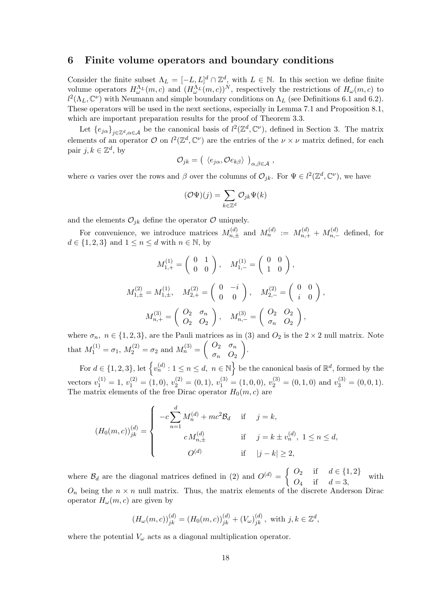### 6 Finite volume operators and boundary conditions

Consider the finite subset  $\Lambda_L = [-L, L]^d \cap \mathbb{Z}^d$ , with  $L \in \mathbb{N}$ . In this section we define finite volume operators  $H_{\omega}^{\Lambda_L}(m,c)$  and  $(H_{\omega}^{\Lambda_L}(m,c))^{N}$ , respectively the restrictions of  $H_{\omega}(m,c)$  to  $l^2(\Lambda_L, \mathbb{C}^{\nu})$  with Neumann and simple boundary conditions on  $\Lambda_L$  (see Definitions 6.1 and 6.2). These operators will be used in the next sections, especially in Lemma 7.1 and Proposition 8.1, which are important preparation results for the proof of Theorem 3.3.

Let  ${e_{j\alpha}}_{j\in\mathbb{Z}^d,\alpha\in\mathcal{A}}$  be the canonical basis of  $l^2(\mathbb{Z}^d,\mathbb{C}^\nu)$ , defined in Section 3. The matrix elements of an operator  $\mathcal{O}$  on  $l^2(\mathbb{Z}^d,\mathbb{C}^{\nu})$  are the entries of the  $\nu \times \nu$  matrix defined, for each pair  $j, k \in \mathbb{Z}^d$ , by

$$
\mathcal{O}_{jk} = \left( \begin{array}{c} \langle e_{j\alpha}, \mathcal{O} e_{k\beta} \rangle \end{array} \right)_{\alpha,\beta \in \mathcal{A}},
$$

where  $\alpha$  varies over the rows and  $\beta$  over the columns of  $\mathcal{O}_{jk}$ . For  $\Psi \in l^2(\mathbb{Z}^d, \mathbb{C}^{\nu})$ , we have

$$
(\mathcal{O}\Psi)(j)=\sum_{k\in\mathbb{Z}^d}\mathcal{O}_{jk}\Psi(k)
$$

and the elements  $\mathcal{O}_{ik}$  define the operator  $\mathcal O$  uniquely.

For convenience, we introduce matrices  $M_{n,\pm}^{(d)}$  and  $M_n^{(d)} := M_{n,+}^{(d)} + M_{n,-}^{(d)}$  defined, for  $d \in \{1, 2, 3\}$  and  $1 \leq n \leq d$  with  $n \in \mathbb{N}$ , by

$$
M_{1,+}^{(1)} = \begin{pmatrix} 0 & 1 \\ 0 & 0 \end{pmatrix}, \quad M_{1,-}^{(1)} = \begin{pmatrix} 0 & 0 \\ 1 & 0 \end{pmatrix},
$$
  

$$
M_{1,\pm}^{(2)} = M_{1,\pm}^{(1)}, \quad M_{2,+}^{(2)} = \begin{pmatrix} 0 & -i \\ 0 & 0 \end{pmatrix}, \quad M_{2,-}^{(2)} = \begin{pmatrix} 0 & 0 \\ i & 0 \end{pmatrix},
$$
  

$$
M_{n,+}^{(3)} = \begin{pmatrix} Q_2 & \sigma_n \\ Q_2 & Q_2 \end{pmatrix}, \quad M_{n,-}^{(3)} = \begin{pmatrix} Q_2 & Q_2 \\ \sigma_n & Q_2 \end{pmatrix},
$$

where  $\sigma_n$ ,  $n \in \{1, 2, 3\}$ , are the Pauli matrices as in (3) and  $O_2$  is the  $2 \times 2$  null matrix. Note that  $M_1^{(1)} = \sigma_1, M_2^{(2)} = \sigma_2$  and  $M_n^{(3)} = \begin{pmatrix} O_2 & \sigma_n \\ \sigma_n & O_3 \end{pmatrix}$  $\sigma_n$   $O_2$ .

For  $d \in \{1,2,3\}$ , let  $\{v_n^{(d)} : 1 \le n \le d, n \in \mathbb{N}\}\$ be the canonical basis of  $\mathbb{R}^d$ , formed by the vectors  $v_1^{(1)} = 1$ ,  $v_1^{(2)} = (1, 0)$ ,  $v_2^{(2)} = (0, 1)$ ,  $v_1^{(3)} = (1, 0, 0)$ ,  $v_2^{(3)} = (0, 1, 0)$  and  $v_3^{(3)} = (0, 0, 1)$ . The matrix elements of the free Dirac operator  $H_0(m, c)$  are

$$
(H_0(m, c))_{jk}^{(d)} = \begin{cases} -c\sum_{n=1}^d M_n^{(d)} + mc^2 \mathcal{B}_d & \text{if } j = k, \\ c M_{n, \pm}^{(d)} & \text{if } j = k \pm v_n^{(d)}, 1 \le n \le d, \\ O^{(d)} & \text{if } |j - k| \ge 2, \end{cases}
$$

where  $\mathcal{B}_d$  are the diagonal matrices defined in (2) and  $O^{(d)} = \begin{cases} O_2 & \text{if } d \in \{1,2\} \\ O & \text{if } d \leq 2 \end{cases}$  $O_4$  if  $d = 3$ , with  $O_n$  being the  $n \times n$  null matrix. Thus, the matrix elements of the discrete Anderson Dirac operator  $H_{\omega}(m, c)$  are given by

$$
(H_{\omega}(m, c))_{jk}^{(d)} = (H_0(m, c))_{jk}^{(d)} + (V_{\omega})_{jk}^{(d)},
$$
 with  $j, k \in \mathbb{Z}^d$ ,

where the potential  $V_{\omega}$  acts as a diagonal multiplication operator.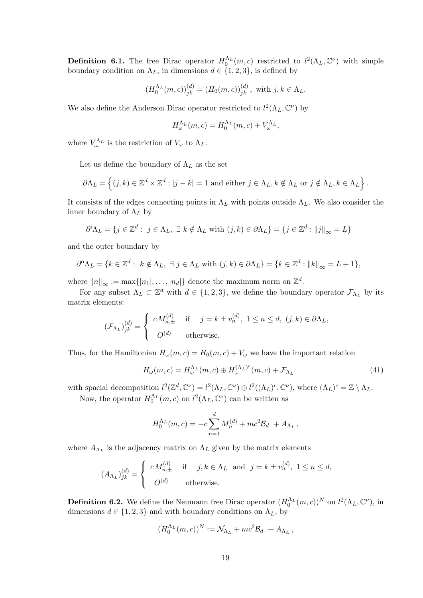**Definition 6.1.** The free Dirac operator  $H_0^{\Lambda_L}(m,c)$  restricted to  $l^2(\Lambda_L,\mathbb{C}^{\nu})$  with simple boundary condition on  $\Lambda_L$ , in dimensions  $d \in \{1, 2, 3\}$ , is defined by

$$
(H_0^{\Lambda_L}(m, c))_{jk}^{(d)} = (H_0(m, c))_{jk}^{(d)},
$$
 with  $j, k \in \Lambda_L$ .

We also define the Anderson Dirac operator restricted to  $l^2(\Lambda_L, \mathbb{C}^{\nu})$  by

$$
H_{\omega}^{\Lambda_L}(m,c) = H_0^{\Lambda_L}(m,c) + V_{\omega}^{\Lambda_L},
$$

where  $V_{\omega}^{\Lambda_L}$  is the restriction of  $V_{\omega}$  to  $\Lambda_L$ .

Let us define the boundary of  $\Lambda_L$  as the set

$$
\partial \Lambda_L = \left\{ (j,k) \in \mathbb{Z}^d \times \mathbb{Z}^d : |j - k| = 1 \text{ and either } j \in \Lambda_L, k \notin \Lambda_L \text{ or } j \notin \Lambda_L, k \in \Lambda_L \right\}.
$$

It consists of the edges connecting points in  $\Lambda_L$  with points outside  $\Lambda_L$ . We also consider the inner boundary of  $\Lambda_L$  by

$$
\partial^i \Lambda_L = \{ j \in \mathbb{Z}^d : j \in \Lambda_L, \exists k \notin \Lambda_L \text{ with } (j,k) \in \partial \Lambda_L \} = \{ j \in \mathbb{Z}^d : ||j||_{\infty} = L \}
$$

and the outer boundary by

$$
\partial^{\alpha} \Lambda_L = \{ k \in \mathbb{Z}^d : k \notin \Lambda_L, \ \exists \ j \in \Lambda_L \ \text{with} \ (j,k) \in \partial \Lambda_L \} = \{ k \in \mathbb{Z}^d : ||k||_{\infty} = L + 1 \},
$$

where  $||n||_{\infty} := \max\{|n_1|, \ldots, |n_d|\}$  denote the maximum norm on  $\mathbb{Z}^d$ .

For any subset  $\Lambda_L \subset \mathbb{Z}^d$  with  $d \in \{1, 2, 3\}$ , we define the boundary operator  $\mathcal{F}_{\Lambda_L}$  by its matrix elements:

$$
(\mathcal{F}_{\Lambda_L})_{jk}^{(d)} = \begin{cases} c M_{n,\pm}^{(d)} & \text{if } j = k \pm v_n^{(d)}, 1 \le n \le d, (j,k) \in \partial \Lambda_L, \\ O^{(d)} & \text{otherwise.} \end{cases}
$$

Thus, for the Hamiltonian  $H_{\omega}(m, c) = H_0(m, c) + V_{\omega}$  we have the important relation

$$
H_{\omega}(m,c) = H_{\omega}^{\Lambda_L}(m,c) \oplus H_{\omega}^{(\Lambda_L)^c}(m,c) + \mathcal{F}_{\Lambda_L}
$$
\n(41)

with spacial decomposition  $l^2(\mathbb{Z}^d, \mathbb{C}^{\nu}) = l^2(\Lambda_L, \mathbb{C}^{\nu}) \oplus l^2((\Lambda_L)^c, \mathbb{C}^{\nu})$ , where  $(\Lambda_L)^c = \mathbb{Z} \setminus \Lambda_L$ . Now, the operator  $H_0^{\Lambda_L}(m, c)$  on  $l^2(\Lambda_L, \mathbb{C}^{\nu})$  can be written as

$$
H_0^{\Lambda_L}(m, c) = -c \sum_{n=1}^d M_n^{(d)} + mc^2 \mathcal{B}_d + A_{\Lambda_L},
$$

where  $A_{\Lambda_L}$  is the adjacency matrix on  $\Lambda_L$  given by the matrix elements

$$
(A_{\Lambda_L})^{(d)}_{jk} = \begin{cases} c M_{n,\pm}^{(d)} & \text{if } j, k \in \Lambda_L \text{ and } j = k \pm v_n^{(d)}, 1 \le n \le d, \\ O^{(d)} & \text{otherwise.} \end{cases}
$$

**Definition 6.2.** We define the Neumann free Dirac operator  $(H_0^{\Lambda_L}(m,c))^N$  on  $l^2(\Lambda_L, \mathbb{C}^{\nu})$ , in dimensions  $d \in \{1, 2, 3\}$  and with boundary conditions on  $\Lambda_L$ , by

$$
(H_0^{\Lambda_L}(m,c))^N := \mathcal{N}_{\Lambda_L} + mc^2 \mathcal{B}_d + A_{\Lambda_L},
$$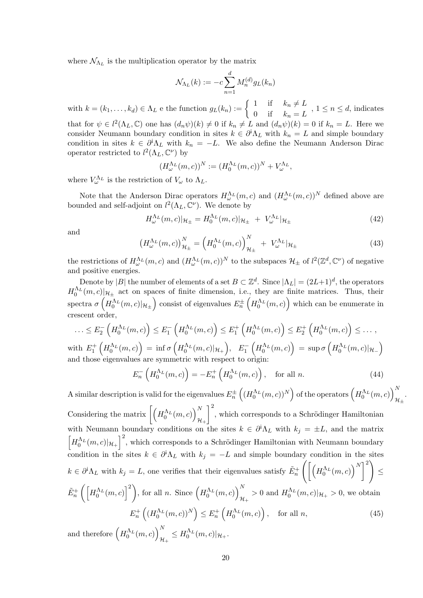where  $\mathcal{N}_{\Lambda_L}$  is the multiplication operator by the matrix

$$
\mathcal{N}_{\Lambda_L}(k) := -c \sum_{n=1}^d M_n^{(d)} g_L(k_n)
$$

with  $k = (k_1, \ldots, k_d) \in \Lambda_L$  e the function  $g_L(k_n) := \begin{cases} 1 & \text{if } k_n \neq L \\ 0 & \text{if } k_n \neq L \end{cases}$  $\begin{array}{ll} 1 & \dots & \dots \\ 0 & \text{if} \\ 0 & \dots & k_n = L \end{array}$ ,  $1 \leq n \leq d$ , indicates that for  $\psi \in l^2(\Lambda_L, \mathbb{C})$  one has  $(d_n\psi)(k) \neq 0$  if  $k_n \neq L$  and  $(d_n\psi)(k) = 0$  if  $k_n = L$ . Here we consider Neumann boundary condition in sites  $k \in \partial^i \Lambda_L$  with  $k_n = L$  and simple boundary condition in sites  $k \in \partial^i \Lambda_L$  with  $k_n = -L$ . We also define the Neumann Anderson Dirac operator restricted to  $l^2(\Lambda_L, \mathbb{C}^{\nu})$  by

$$
(H_{\omega}^{\Lambda_L}(m,c))^{N} := (H_0^{\Lambda_L}(m,c))^{N} + V_{\omega}^{\Lambda_L},
$$

where  $V_{\omega}^{\Lambda_L}$  is the restriction of  $V_{\omega}$  to  $\Lambda_L$ .

Note that the Anderson Dirac operators  $H_{\omega}^{\Lambda_L}(m, c)$  and  $(H_{\omega}^{\Lambda_L}(m, c))^N$  defined above are bounded and self-adjoint on  $l^2(\Lambda_L, \mathbb{C}^{\nu})$ . We denote by

$$
H_{\omega}^{\Lambda_L}(m,c)|_{\mathcal{H}_{\pm}} = H_0^{\Lambda_L}(m,c)|_{\mathcal{H}_{\pm}} + V_{\omega}^{\Lambda_L}|_{\mathcal{H}_{\pm}}
$$
\n(42)

and

$$
\left(H_{\omega}^{\Lambda_L}(m,c)\right)_{\mathcal{H}_{\pm}}^N = \left(H_0^{\Lambda_L}(m,c)\right)_{\mathcal{H}_{\pm}}^N + V_{\omega}^{\Lambda_L}|_{\mathcal{H}_{\pm}} \tag{43}
$$

the restrictions of  $H_{\omega}^{\Lambda_L}(m, c)$  and  $(H_{\omega}^{\Lambda_L}(m, c))^N$  to the subspaces  $\mathcal{H}_{\pm}$  of  $l^2(\mathbb{Z}^d, \mathbb{C}^{\nu})$  of negative and positive energies.

Denote by |B| the number of elements of a set  $B \subset \mathbb{Z}^d$ . Since  $|\Lambda_L| = (2L+1)^d$ , the operators  $H_0^{\Lambda_L}(m,c)|_{\mathcal{H}_\pm}$  act on spaces of finite dimension, i.e., they are finite matrices. Thus, their spectra  $\sigma\left(H_0^{\Lambda_L}(m,c)|_{\mathcal{H}_\pm}\right)$  consist of eigenvalues  $E_n^\pm\left(H_0^{\Lambda_L}(m,c)\right)$  which can be enumerate in crescent order,

$$
\ldots \leq E_2^- \left( H_0^{\Lambda_L}(m, c) \right) \leq E_1^- \left( H_0^{\Lambda_L}(m, c) \right) \leq E_1^+ \left( H_0^{\Lambda_L}(m, c) \right) \leq E_2^+ \left( H_0^{\Lambda_L}(m, c) \right) \leq \ldots,
$$
  
with  $E_1^+ \left( H_0^{\Lambda_L}(m, c) \right) = \inf \sigma \left( H_0^{\Lambda_L}(m, c) |_{\mathcal{H}_+} \right), E_1^- \left( H_0^{\Lambda_L}(m, c) \right) = \sup \sigma \left( H_0^{\Lambda_L}(m, c) |_{\mathcal{H}_-} \right)$ 

and those eigenvalues are symmetric with respect to origin:

$$
E_n^- \left( H_0^{\Lambda_L}(m, c) \right) = -E_n^+ \left( H_0^{\Lambda_L}(m, c) \right), \quad \text{for all } n. \tag{44}
$$

A similar description is valid for the eigenvalues  $E_n^{\pm}\left( (H_0^{\Lambda_L}(m,c))^N \right)$  of the operators  $\left( H_0^{\Lambda_L}(m,c) \right)_n^N$  $\mathcal{H}_{\pm}$ . Considering the matrix  $\left[\left(H_0^{\Lambda_L}(m,c)\right)_{\Lambda_L}^N\right]$  $\mathcal{H}_+$  $\Big]^{2}$ , which corresponds to a Schrödinger Hamiltonian with Neumann boundary conditions on the sites  $k \in \partial^i \Lambda_L$  with  $k_j = \pm L$ , and the matrix  $\left[H_0^{\Lambda_L}(m,c)|_{{\mathcal{H}}_+}\right]^2$ , which corresponds to a Schrödinger Hamiltonian with Neumann boundary condition in the sites  $k \in \partial^i \Lambda_L$  with  $k_j = -L$  and simple boundary condition in the sites  $k \in \partial^i \Lambda_L$  with  $k_j = L$ , one verifies that their eigenvalues satisfy  $\tilde{E}_n^+ \left( \left[ \left( H_0^{\Lambda_L}(m,c) \right)^N \right]^2 \right)$ ≤  $\tilde{E}_n^+\left(\left[H_0^{\Lambda_L}(m,c)\right]^2\right)$ , for all n. Since  $\left(H_0^{\Lambda_L}(m,c)\right)_n^N$  $\frac{H_1}{\mathcal{H}_+} > 0$  and  $H_0^{\Lambda_L}(m, c)|_{\mathcal{H}_+} > 0$ , we obtain  $E_n^+\left( (H_0^{\Lambda_L}(m,c))^N \right) \le E_n^+\left( H_0^{\Lambda_L}(m,c) \right)$ , for all *n*, (45)

and therefore  $(H_0^{\Lambda_L}(m, c))$  $\frac{d\lambda}{dt_+}\leq H_0^{\Lambda_L}(m,c)|_{\mathcal{H}_+}.$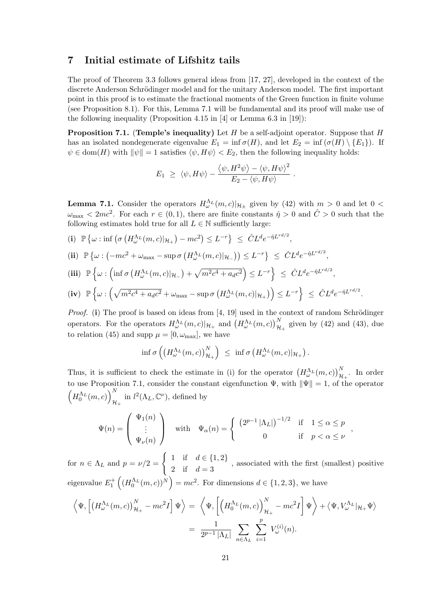# 7 Initial estimate of Lifshitz tails

The proof of Theorem 3.3 follows general ideas from [17, 27], developed in the context of the discrete Anderson Schrödinger model and for the unitary Anderson model. The first important point in this proof is to estimate the fractional moments of the Green function in finite volume (see Proposition 8.1). For this, Lemma 7.1 will be fundamental and its proof will make use of the following inequality (Proposition 4.15 in [4] or Lemma 6.3 in [19]):

**Proposition 7.1.** (Temple's inequality) Let H be a self-adjoint operator. Suppose that H has an isolated nondegenerate eigenvalue  $E_1 = \inf \sigma(H)$ , and let  $E_2 = \inf (\sigma(H) \setminus \{E_1\})$ . If  $\psi \in \text{dom}(H)$  with  $\|\psi\| = 1$  satisfies  $\langle \psi, H\psi \rangle < E_2$ , then the following inequality holds:

$$
E_1 \geq \langle \psi, H\psi \rangle - \frac{\langle \psi, H^2\psi \rangle - \langle \psi, H\psi \rangle^2}{E_2 - \langle \psi, H\psi \rangle}
$$

.

.

**Lemma 7.1.** Consider the operators  $H_{\omega}^{\Lambda_L}(m, c)|_{\mathcal{H}_{\pm}}$  given by (42) with  $m > 0$  and let  $0 <$  $\omega_{\text{max}} < 2mc^2$ . For each  $r \in (0, 1)$ , there are finite constants  $\hat{\eta} > 0$  and  $\hat{C} > 0$  such that the following estimates hold true for all  $L \in \mathbb{N}$  sufficiently large:

(i)  $\mathbb{P}\left\{\omega : \inf\left(\sigma\left(H^{\Lambda_L}_{\omega}(m,c)|_{\mathcal{H}_+}\right) - mc^2\right) \leq L^{-r}\right\} \leq \hat{C}L^d e^{-\hat{\eta}L^{rd/2}},$ 

$$
\textbf{(ii)} \quad \mathbb{P}\left\{\omega : \left(-mc^2 + \omega_{\text{max}} - \sup \sigma\left(H^{\Lambda_L}_{\omega}(m, c)|_{\mathcal{H}_-}\right)\right) \leq L^{-r}\right\} \leq \hat{C}L^d e^{-\hat{\eta}L^{rd/2}},
$$

$$
\begin{aligned}\n\text{(iii)} \quad & \mathbb{P}\left\{\omega : \left(\inf \sigma\left(H^{\Lambda_L}_{\omega}(m,c)|_{\mathcal{H}_-}\right) + \sqrt{m^2c^4 + a_d c^2}\right) \leq L^{-r}\right\} \leq \hat{C}L^d e^{-\hat{\eta}L^{rd/2}}, \\
\text{(iv)} \quad & \mathbb{P}\left\{\omega : \left(\sqrt{m^2c^4 + a_d c^2} + \omega_{\text{max}} - \sup \sigma\left(H^{\Lambda_L}_{\omega}(m,c)|_{\mathcal{H}_+}\right)\right) \leq L^{-r}\right\} \leq \hat{C}L^d e^{-\hat{\eta}L^{rd/2}}\n\end{aligned}
$$

*Proof.* (i) The proof is based on ideas from [4, 19] used in the context of random Schrödinger operators. For the operators  $H_{\omega}^{\Lambda_L}(m,c)|_{\mathcal{H}_+}$  and  $(H_{\omega}^{\Lambda_L}(m,c))_{\mathcal{H}_+}^N$  given by (42) and (43), due to relation (45) and supp  $\mu = [0, \omega_{\text{max}}]$ , we have

$$
\inf \sigma \left( \left( H^{\Lambda_L}_{\omega}(m,c) \right)^N_{\mathcal{H}_+} \right) \ \leq \ \inf \sigma \left( H^{\Lambda_L}_{\omega}(m,c) \vert_{\mathcal{H}_+} \right).
$$

Thus, it is sufficient to check the estimate in (i) for the operator  $(H_{\omega}^{\Lambda_L}(m,c))_{\mathcal{H}_+}^N$ . In order to use Proposition 7.1, consider the constant eigenfunction  $\Psi$ , with  $\|\Psi\| = 1$ , of the operator  $\left(H_0^{\Lambda_L}(m,c)\right)^N_{\Lambda}$  $\prod_{\mathcal{H}_+}^{N}$  in  $l^2(\Lambda_L, \mathbb{C}^{\nu})$ , defined by

$$
\Psi(n) = \begin{pmatrix} \Psi_1(n) \\ \vdots \\ \Psi_\nu(n) \end{pmatrix} \quad \text{with} \quad \Psi_\alpha(n) = \begin{cases} \left(2^{p-1} |\Lambda_L|\right)^{-1/2} & \text{if} \quad 1 \le \alpha \le p \\ 0 & \text{if} \quad p < \alpha \le \nu \end{cases},
$$

for  $n \in \Lambda_L$  and  $p = \nu/2 = \begin{cases} 1 & \text{if } d \in \{1,2\} \\ 0 & \text{if } d \leq 1 \end{cases}$ 2 if  $d = 3$ , associated with the first (smallest) positive eigenvalue  $E_1^+\left( (H_0^{\Lambda_L}(m,c))^N\right) = mc^2$ . For dimensions  $d \in \{1,2,3\}$ , we have

$$
\left\langle \Psi, \left[ \left( H^{\Lambda_L}_{\omega}(m, c) \right)^N_{\mathcal{H}_+} - mc^2 I \right] \Psi \right\rangle = \left\langle \Psi, \left[ \left( H^{\Lambda_L}_{0}(m, c) \right)^N_{\mathcal{H}_+} - mc^2 I \right] \Psi \right\rangle + \left\langle \Psi, V^{\Lambda_L}_{\omega} |_{\mathcal{H}_+} \Psi \right\rangle
$$

$$
= \frac{1}{2^{p-1} |\Lambda_L|} \sum_{n \in \Lambda_L} \sum_{i=1}^p V^{(i)}_{\omega}(n).
$$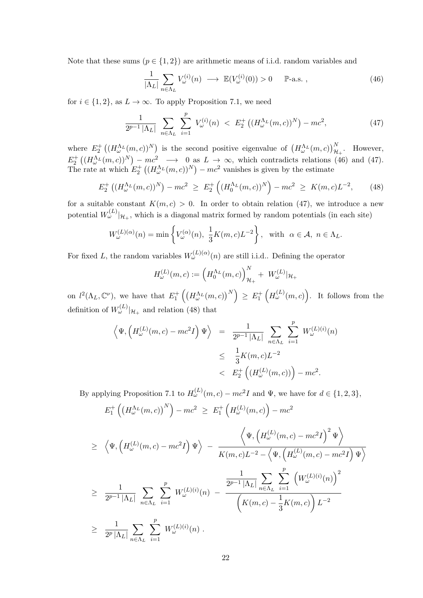Note that these sums  $(p \in \{1,2\})$  are arithmetic means of i.i.d. random variables and

$$
\frac{1}{|\Lambda_L|} \sum_{n \in \Lambda_L} V_{\omega}^{(i)}(n) \longrightarrow \mathbb{E}(V_{\omega}^{(i)}(0)) > 0 \quad \mathbb{P}\text{-a.s.} \,, \tag{46}
$$

for  $i \in \{1, 2\}$ , as  $L \to \infty$ . To apply Proposition 7.1, we need

$$
\frac{1}{2^{p-1}|\Lambda_L|} \sum_{n \in \Lambda_L} \sum_{i=1}^p V_{\omega}^{(i)}(n) < E_2^+ \left( (H_{\omega}^{\Lambda_L}(m,c))^N \right) - mc^2,\tag{47}
$$

where  $E_2^+((H_{\omega}^{\Lambda_L}(m,c))^{N})$  is the second positive eigenvalue of  $(H_{\omega}^{\Lambda_L}(m,c))_{\mathcal{H}_+}^{N}$ . However,  $E_2^+\left((H_{\omega}^{\Lambda_L}(m,c))^N\right)-mc^2 \longrightarrow 0$  as  $L\to\infty$ , which contradicts relations (46) and (47). The rate at which  $E_2^+((H_{\omega}^{\Lambda_L}(m,c))^N) - mc^2$  vanishes is given by the estimate

$$
E_2^+\left((H_{\omega}^{\Lambda_L}(m,c))^N\right) - mc^2 \ge E_2^+\left((H_0^{\Lambda_L}(m,c))^N\right) - mc^2 \ge K(m,c)L^{-2},\tag{48}
$$

for a suitable constant  $K(m, c) > 0$ . In order to obtain relation (47), we introduce a new potential  $W_{\omega}^{(L)}|_{\mathcal{H}_{+}}$ , which is a diagonal matrix formed by random potentials (in each site)

$$
W_{\omega}^{(L)(\alpha)}(n) = \min \left\{ V_{\omega}^{(\alpha)}(n), \frac{1}{3} K(m, c) L^{-2} \right\}, \text{ with } \alpha \in \mathcal{A}, n \in \Lambda_L.
$$

For fixed L, the random variables  $W_{\omega}^{(L)(\alpha)}(n)$  are still i.i.d.. Defining the operator

$$
H_{\omega}^{(L)}(m, c) := \left( H_0^{\Lambda_L}(m, c) \right)_{\mathcal{H}_+}^N + W_{\omega}^{(L)} |_{\mathcal{H}_+}
$$

on  $l^2(\Lambda_L, \mathbb{C}^{\nu})$ , we have that  $E_1^+\left(\left(H_{\omega}^{\Lambda_L}(m,c)\right)^N\right) \geq E_1^+\left(H_{\omega}^{(L)}(m,c)\right)$ . It follows from the definition of  $W_{\omega}^{(L)}|_{\mathcal{H}_{+}}$  and relation (48) that

$$
\langle \Psi, \left( H_{\omega}^{(L)}(m, c) - mc^2 I \right) \Psi \rangle = \frac{1}{2^{p-1} |\Lambda_L|} \sum_{n \in \Lambda_L} \sum_{i=1}^p W_{\omega}^{(L)(i)}(n)
$$
  

$$
\leq \frac{1}{3} K(m, c) L^{-2}
$$
  

$$
< E_2^+ \left( \left( H_{\omega}^{(L)}(m, c) \right) \right) - mc^2.
$$

By applying Proposition 7.1 to  $H_{\omega}^{(L)}(m, c) - mc^2 I$  and  $\Psi$ , we have for  $d \in \{1, 2, 3\}$ ,

$$
E_1^+\left(\left(H^{\Lambda_L}_{\omega}(m,c)\right)^N\right)-mc^2 \geq E_1^+\left(H^{(L)}_{\omega}(m,c)\right)-mc^2
$$

$$
\geq \left\langle \Psi, \left( H_{\omega}^{(L)}(m, c) - mc^2 I \right) \Psi \right\rangle - \frac{\left\langle \Psi, \left( H_{\omega}^{(L)}(m, c) - mc^2 I \right)^2 \Psi \right\rangle}{K(m, c) L^{-2} - \left\langle \Psi, \left( H_{\omega}^{(L)}(m, c) - mc^2 I \right) \Psi \right\rangle} \n\geq \frac{1}{2^{p-1} |\Lambda_L|} \sum_{n \in \Lambda_L} \sum_{i=1}^p W_{\omega}^{(L)(i)}(n) - \frac{\frac{1}{2^{p-1} |\Lambda_L|} \sum_{n \in \Lambda_L} \sum_{i=1}^p \left( W_{\omega}^{(L)(i)}(n) \right)^2}{\left( K(m, c) - \frac{1}{3} K(m, c) \right) L^{-2}} \n\geq \frac{1}{2^p |\Lambda_L|} \sum_{n \in \Lambda_L} \sum_{i=1}^p W_{\omega}^{(L)(i)}(n) .
$$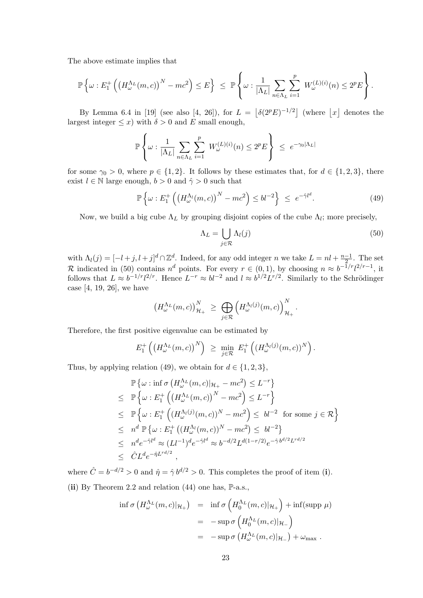The above estimate implies that

$$
\mathbb{P}\left\{\omega: E_1^+\left(\left(H^{\Lambda_L}_{\omega}(m,c)\right)^N - mc^2\right) \leq E\right\} \leq \mathbb{P}\left\{\omega: \frac{1}{|\Lambda_L|}\sum_{n\in\Lambda_L}\sum_{i=1}^p W_{\omega}^{(L)(i)}(n) \leq 2^p E\right\}.
$$

By Lemma 6.4 in [19] (see also [4, 26]), for  $L = |\delta(2^p E)^{-1/2}|$  (where |x| denotes the largest integer  $\leq x$ ) with  $\delta > 0$  and E small enough,

$$
\mathbb{P}\left\{\omega : \frac{1}{|\Lambda_L|} \sum_{n \in \Lambda_L} \sum_{i=1}^p W_{\omega}^{(L)(i)}(n) \le 2^p E\right\} \le e^{-\gamma_0 |\Lambda_L|}
$$

for some  $\gamma_0 > 0$ , where  $p \in \{1, 2\}$ . It follows by these estimates that, for  $d \in \{1, 2, 3\}$ , there exist  $l \in \mathbb{N}$  large enough,  $b > 0$  and  $\hat{\gamma} > 0$  such that

$$
\mathbb{P}\left\{\omega: E_1^+\left(\left(H^{\Lambda_l}_{\omega}(m,c)\right)^N - mc^2\right) \leq bl^{-2}\right\} \leq e^{-\hat{\gamma}l^d}.\tag{49}
$$

Now, we build a big cube  $\Lambda_L$  by grouping disjoint copies of the cube  $\Lambda_l$ ; more precisely,

$$
\Lambda_L = \bigcup_{j \in \mathcal{R}} \Lambda_l(j) \tag{50}
$$

with  $\Lambda_l(j) = [-l+j, l+j]^d \cap \mathbb{Z}^d$ . Indeed, for any odd integer n we take  $L = nl + \frac{n-1}{2}$  $\frac{-1}{2}$ . The set R indicated in (50) contains  $n^d$  points. For every  $r \in (0,1)$ , by choosing  $n \approx b^{-1/r}l^{2/r-1}$ , it follows that  $L \approx b^{-1/r} l^{2/r}$ . Hence  $L^{-r} \approx bl^{-2}$  and  $l \approx b^{1/2} L^{r/2}$ . Similarly to the Schrödinger case [4, 19, 26], we have

$$
\left(H_{\omega}^{\Lambda_L}(m,c)\right)_{\mathcal{H}_+}^N \geq \bigoplus_{j\in\mathcal{R}} \left(H_{\omega}^{\Lambda_l(j)}(m,c)\right)_{\mathcal{H}_+}^N.
$$

Therefore, the first positive eigenvalue can be estimated by

$$
E_1^+\left(\left(H_{\omega}^{\Lambda_L}(m,c)\right)^N\right) \ \geq \ \min_{j\in\mathcal{R}} \ E_1^+\left(\left(H_{\omega}^{\Lambda_l(j)}(m,c)\right)^N\right).
$$

Thus, by applying relation (49), we obtain for  $d \in \{1, 2, 3\}$ ,

$$
\mathbb{P}\left\{\omega : \inf \sigma\left(H_{\omega}^{\Lambda_L}(m, c)|_{\mathcal{H}_+} - mc^2\right) \leq L^{-r}\right\}
$$
\n
$$
\leq \mathbb{P}\left\{\omega : E_1^+\left(\left(H_{\omega}^{\Lambda_L}(m, c)\right)^N - mc^2\right) \leq L^{-r}\right\}
$$
\n
$$
\leq \mathbb{P}\left\{\omega : E_1^+\left(\left(H_{\omega}^{\Lambda_l}(j)(m, c)\right)^N - mc^2\right) \leq bl^{-2} \text{ for some } j \in \mathcal{R}\right\}
$$
\n
$$
\leq n^d \mathbb{P}\left\{\omega : E_1^+\left(\left(H_{\omega}^{\Lambda_l}(m, c)\right)^N - mc^2\right) \leq bl^{-2}\right\}
$$
\n
$$
\leq n^d e^{-\hat{\gamma}l^d} \approx (Ll^{-1})^d e^{-\hat{\gamma}l^d} \approx b^{-d/2} L^{d(1-r/2)} e^{-\hat{\gamma}b^{d/2}L^{rd/2}}
$$
\n
$$
\leq \hat{C}L^d e^{-\hat{\eta}L^{rd/2}},
$$

where  $\hat{C} = b^{-d/2} > 0$  and  $\hat{\eta} = \hat{\gamma} b^{d/2} > 0$ . This completes the proof of item (i). (ii) By Theorem 2.2 and relation  $(44)$  one has,  $\mathbb{P}\text{-a.s.}$ ,

$$
\inf \sigma \left( H_{\omega}^{\Lambda_L}(m, c) |_{\mathcal{H}_+} \right) = \inf \sigma \left( H_0^{\Lambda_L}(m, c) |_{\mathcal{H}_+} \right) + \inf(\text{supp } \mu)
$$
  

$$
= -\sup \sigma \left( H_0^{\Lambda_L}(m, c) |_{\mathcal{H}_-} \right)
$$
  

$$
= -\sup \sigma \left( H_{\omega}^{\Lambda_L}(m, c) |_{\mathcal{H}_-} \right) + \omega_{\text{max}}.
$$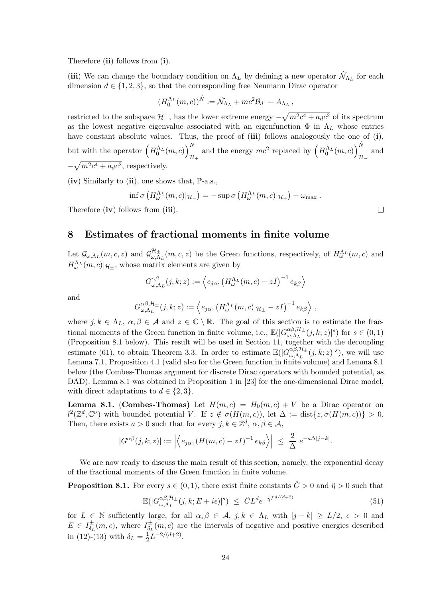Therefore (ii) follows from (i).

(iii) We can change the boundary condition on  $\Lambda_L$  by defining a new operator  $\hat{\mathcal{N}}_{\Lambda_L}$  for each dimension  $d \in \{1, 2, 3\}$ , so that the corresponding free Neumann Dirac operator

$$
(H_0^{\Lambda_L}(m,c))^{\hat{N}} := \hat{\mathcal{N}}_{\Lambda_L} + mc^2 \mathcal{B}_d + A_{\Lambda_L},
$$

restricted to the subspace  $\mathcal{H}_-$ , has the lower extreme energy  $-\sqrt{m^2c^4 + a_d c^2}$  of its spectrum as the lowest negative eigenvalue associated with an eigenfunction  $\Phi$  in  $\Lambda_L$  whose entries have constant absolute values. Thus, the proof of (iii) follows analogously the one of (i), but with the operator  $\left(H_0^{\Lambda_L}(m,c)\right)_0^N$  $\frac{N}{\mathcal{H}_+}$  and the energy  $mc^2$  replaced by  $\left(H_0^{\Lambda_L}(m, c)\right)_{\mathcal{H}_+}^{\hat{N}}$ and  $\mathcal{H}_ -\sqrt{m^2c^4 + a_d c^2}$ , respectively.

(iv) Similarly to (ii), one shows that,  $\mathbb{P}\text{-a.s.}$ ,

$$
\inf \sigma \left( H^{\Lambda_L}_{\omega}(m,c)|_{{\mathcal H}_-} \right) = - \sup \sigma \left( H^{\Lambda_L}_{\omega}(m,c)|_{{\mathcal H}_+} \right) + \omega_{\max}.
$$

Therefore (iv) follows from (iii).

### 8 Estimates of fractional moments in finite volume

Let  $\mathcal{G}_{\omega,\Lambda_L}(m,c,z)$  and  $\mathcal{G}_{\omega,\Lambda}^{\mathcal{H}_\pm}$  $\partial_{\omega,\Lambda_L}^{H_\pm}(m,c,z)$  be the Green functions, respectively, of  $H^{\Lambda_L}_{\omega}(m,c)$  and  $H_{\omega}^{\Lambda_L}(m, c)|_{\mathcal{H}_{\pm}}$ , whose matrix elements are given by

$$
G_{\omega,\Lambda_L}^{\alpha\beta}(j,k;z) := \left\langle e_{j\alpha}, \left( H_{\omega}^{\Lambda_L}(m,c) - zI \right)^{-1} e_{k\beta} \right\rangle
$$
  

$$
G_{\omega,\Lambda_L}^{\alpha\beta,\mathcal{H}_{\pm}}(j,k;z) := \left\langle e_{j\alpha}, \left( H_{\omega}^{\Lambda_L}(m,c) |_{\mathcal{H}_{\pm}} - zI \right)^{-1} e_{k\beta} \right\rangle,
$$

and

where 
$$
j, k \in \Lambda_L
$$
,  $\alpha, \beta \in \mathcal{A}$  and  $z \in \mathbb{C} \setminus \mathbb{R}$ . The goal of this section is to estimate the fractional moments of the Green function in finite volume, i.e.,  $\mathbb{E}(|G_{\omega,\Lambda_L}^{\alpha\beta,\mathcal{H}_\pm}(j,k;z)|^s)$  for  $s \in (0,1)$  (Proposition 8.1 below). This result will be used in Section 11, together with the decoupling estimate (61), to obtain Theorem 3.3. In order to estimate  $\mathbb{E}(|G_{\omega,\Lambda_L}^{\alpha\beta,\mathcal{H}_\pm}(j,k;z)|^s)$ , we will use Lemma 7.1, Proposition 4.1 (valid also for the Green function in finite volume) and Lemma 8.1 below (the Combes-Thomas argument for discrete Dirac operators with bounded potential, as DAD). Lemma 8.1 was obtained in Proposition 1 in [23] for the one-dimensional Dirac model, with direct adaptations to  $d \in \{2,3\}$ .

**Lemma 8.1.** (Combes-Thomas) Let  $H(m, c) = H_0(m, c) + V$  be a Dirac operator on  $l^2(\mathbb{Z}^d, \mathbb{C}^{\nu})$  with bounded potential V. If  $z \notin \sigma(H(m, c))$ , let  $\Delta := \text{dist}\{z, \sigma(H(m, c))\} > 0$ . Then, there exists  $a > 0$  such that for every  $j, k \in \mathbb{Z}^d$ ,  $\alpha, \beta \in \mathcal{A}$ ,

$$
|G^{\alpha\beta}(j,k;z)| := \left| \left\langle e_{j\alpha}, (H(m,c)-zI)^{-1} e_{k\beta} \right\rangle \right| \leq \frac{2}{\Delta} e^{-a\Delta|j-k|}.
$$

We are now ready to discuss the main result of this section, namely, the exponential decay of the fractional moments of the Green function in finite volume.

**Proposition 8.1.** For every  $s \in (0,1)$ , there exist finite constants  $\tilde{C} > 0$  and  $\tilde{\eta} > 0$  such that

$$
\mathbb{E}(|G_{\omega,\Lambda_L}^{\alpha\beta,\mathcal{H}_\pm}(j,k;E+i\epsilon)|^s) \leq \tilde{C}L^d e^{-\tilde{\eta}L^{d/(d+2)}} \tag{51}
$$

for  $L \in \mathbb{N}$  sufficiently large, for all  $\alpha, \beta \in \mathcal{A}, j, k \in \Lambda_L$  with  $|j - k| \ge L/2, \epsilon > 0$  and  $E \in I_{\delta_{\tau}}^{\pm}$  $\frac{1}{\delta_L}(m, c)$ , where  $I_{\delta_L}^{\pm}$  $\frac{1}{\delta_L}(m, c)$  are the intervals of negative and positive energies described in (12)-(13) with  $\delta_L = \frac{1}{2}$  $\frac{1}{2}L^{-2/(d+2)}$ .

 $\Box$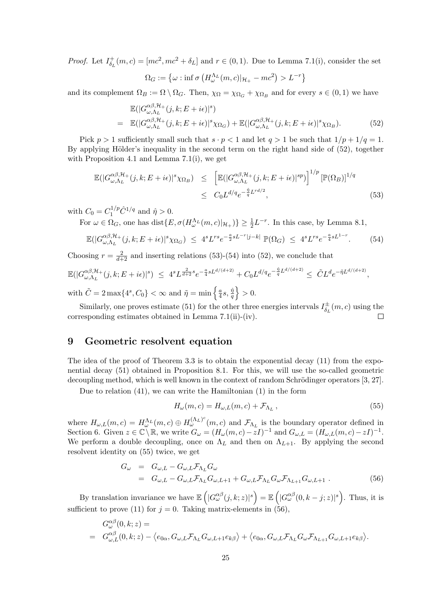*Proof.* Let  $I_{\delta_r}^+$  $\delta_L^+(m,c) = [mc^2, mc^2 + \delta_L]$  and  $r \in (0,1)$ . Due to Lemma 7.1(i), consider the set

$$
\Omega_G := \left\{ \omega : \inf \sigma \left( H^{\Lambda_L}_{\omega}(m, c) |_{\mathcal{H}_+} - mc^2 \right) > L^{-r} \right\}
$$

and its complement  $\Omega_B := \Omega \setminus \Omega_G$ . Then,  $\chi_{\Omega} = \chi_{\Omega_G} + \chi_{\Omega_B}$  and for every  $s \in (0,1)$  we have

$$
\mathbb{E}(|G_{\omega,\Lambda_L}^{\alpha\beta,\mathcal{H}_+}(j,k;E+i\epsilon)|^s) \n= \mathbb{E}(|G_{\omega,\Lambda_L}^{\alpha\beta,\mathcal{H}_+}(j,k;E+i\epsilon)|^s \chi_{\Omega_G}) + \mathbb{E}(|G_{\omega,\Lambda_L}^{\alpha\beta,\mathcal{H}_+}(j,k;E+i\epsilon)|^s \chi_{\Omega_B}).
$$
\n(52)

Pick  $p > 1$  sufficiently small such that  $s \cdot p < 1$  and let  $q > 1$  be such that  $1/p + 1/q = 1$ . By applying Hölder's inequality in the second term on the right hand side of  $(52)$ , together with Proposition 4.1 and Lemma 7.1(i), we get

$$
\mathbb{E}(|G_{\omega,\Lambda_L}^{\alpha\beta,\mathcal{H}_+}(j,k;E+i\epsilon)|^s \chi_{\Omega_B}) \leq \left[ \mathbb{E}(|G_{\omega,\Lambda_L}^{\alpha\beta,\mathcal{H}_+}(j,k;E+i\epsilon)|^{sp}) \right]^{1/p} \left[ \mathbb{P}(\Omega_B) \right]^{1/q}
$$
  

$$
\leq C_0 L^{d/q} e^{-\frac{\hat{\eta}}{q} L^{rd/2}},
$$
 (53)

with  $C_0 = C_1^{1/p} \hat{C}^{1/q}$  and  $\hat{\eta} > 0$ .

For  $\omega \in \Omega_G$ , one has  $dist\{E, \sigma(H_{\omega}^{\Lambda_L}(m,c)|_{\mathcal{H}_+})\} \geq \frac{1}{2}L^{-r}$ . In this case, by Lemma 8.1,

$$
\mathbb{E}(|G_{\omega,\Lambda_L}^{\alpha\beta,\mathcal{H}_+}(j,k;E+i\epsilon)|^s\chi_{\Omega_G}) \leq 4^sL^{rs}e^{-\frac{a}{2}sL^{-r}|j-k|}\mathbb{P}(\Omega_G) \leq 4^sL^{rs}e^{-\frac{a}{4}sL^{1-r}}.\tag{54}
$$

Choosing  $r = \frac{2}{d+2}$  and inserting relations (53)-(54) into (52), we conclude that

$$
\mathbb{E}(|G^{\alpha\beta,\mathcal{H}_{+}}_{\omega,\Lambda_{L}}(j,k;E+i\epsilon)|^{s}) \leq 4^{s}L^{\frac{2}{d+2}s}e^{-\frac{a}{4}sL^{d/(d+2)}} + C_{0}L^{d/q}e^{-\frac{\hat{\eta}}{q}L^{d/(d+2)}} \leq \tilde{C}L^{d}e^{-\tilde{\eta}L^{d/(d+2)}},
$$
  
with  $\tilde{C} = 2 \max\{4^{s}, C_{0}\} < \infty$  and  $\tilde{\eta} = \min\left\{\frac{a}{4}s, \frac{\hat{\eta}}{q}\right\} > 0.$ 

Similarly, one proves estimate (51) for the other three energies intervals  $I_{\delta}^{\pm}$  $\vec{b}_L^{\pm}(m, c)$  using the corresponding estimates obtained in Lemma 7.1(ii)-(iv).  $\Box$ 

# 9 Geometric resolvent equation

The idea of the proof of Theorem 3.3 is to obtain the exponential decay (11) from the exponential decay (51) obtained in Proposition 8.1. For this, we will use the so-called geometric decoupling method, which is well known in the context of random Schrödinger operators [3, 27].

Due to relation (41), we can write the Hamiltonian (1) in the form

$$
H_{\omega}(m,c) = H_{\omega,L}(m,c) + \mathcal{F}_{\Lambda_L},\qquad(55)
$$

where  $H_{\omega,L}(m,c) = H_{\omega}^{\Lambda_L}(m,c) \oplus H_{\omega}^{(\Lambda_L)^c}(m,c)$  and  $\mathcal{F}_{\Lambda_L}$  is the boundary operator defined in Section 6. Given  $z \in \mathbb{C} \setminus \mathbb{R}$ , we write  $G_{\omega} = (H_{\omega}(m, c) - zI)^{-1}$  and  $G_{\omega, L} = (H_{\omega, L}(m, c) - zI)^{-1}$ . We perform a double decoupling, once on  $\Lambda_L$  and then on  $\Lambda_{L+1}$ . By applying the second resolvent identity on (55) twice, we get

$$
G_{\omega} = G_{\omega,L} - G_{\omega,L} \mathcal{F}_{\Lambda_L} G_{\omega}
$$
  
= 
$$
G_{\omega,L} - G_{\omega,L} \mathcal{F}_{\Lambda_L} G_{\omega,L+1} + G_{\omega,L} \mathcal{F}_{\Lambda_L} G_{\omega} \mathcal{F}_{\Lambda_{L+1}} G_{\omega,L+1} .
$$
 (56)

By translation invariance we have  $\mathbb{E}\left(|G_{\omega}^{\alpha\beta}(j,k;z)|^{s}\right) = \mathbb{E}\left(|G_{\omega}^{\alpha\beta}(0,k-j;z)|^{s}\right)$ . Thus, it is sufficient to prove (11) for  $j = 0$ . Taking matrix-elements in (56),

$$
G_{\omega}^{\alpha\beta}(0,k;z) =
$$
  
=  $G_{\omega,L}^{\alpha\beta}(0,k;z) - \langle e_{0\alpha}, G_{\omega,L}\mathcal{F}_{\Lambda_L}G_{\omega,L+1}e_{k\beta}\rangle + \langle e_{0\alpha}, G_{\omega,L}\mathcal{F}_{\Lambda_L}G_{\omega}\mathcal{F}_{\Lambda_{L+1}}G_{\omega,L+1}e_{k\beta}\rangle.$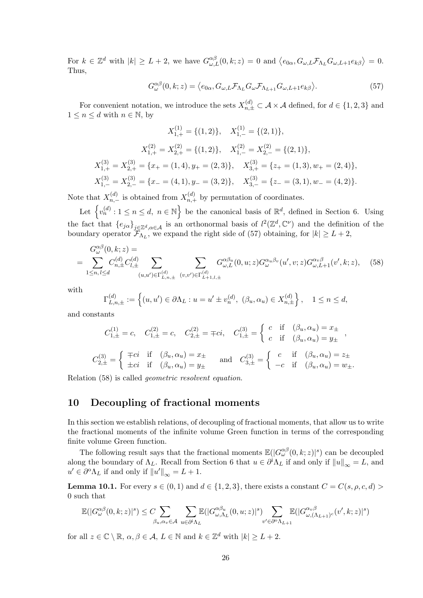For  $k \in \mathbb{Z}^d$  with  $|k| \ge L + 2$ , we have  $G_{\omega,L}^{\alpha\beta}(0,k;z) = 0$  and  $\langle e_{0\alpha}, G_{\omega,L} \mathcal{F}_{\Lambda_L} G_{\omega,L+1} e_{k\beta} \rangle = 0$ . Thus,

$$
G_{\omega}^{\alpha\beta}(0,k;z) = \langle e_{0\alpha}, G_{\omega,L}\mathcal{F}_{\Lambda_L}G_{\omega}\mathcal{F}_{\Lambda_{L+1}}G_{\omega,L+1}e_{k\beta}\rangle.
$$
 (57)

For convenient notation, we introduce the sets  $X_{n,\pm}^{(d)} \subset \mathcal{A} \times \mathcal{A}$  defined, for  $d \in \{1,2,3\}$  and  $1 \leq n \leq d$  with  $n \in \mathbb{N}$ , by

$$
X_{1,+}^{(1)} = \{(1,2)\}, \quad X_{1,-}^{(1)} = \{(2,1)\},
$$

$$
X_{1,+}^{(2)} = X_{2,+}^{(2)} = \{(1,2)\}, \quad X_{1,-}^{(2)} = X_{2,-}^{(2)} = \{(2,1)\},
$$

$$
X_{1,+}^{(3)} = X_{2,+}^{(3)} = \{x_+ = (1,4), y_+ = (2,3)\}, \quad X_{3,+}^{(3)} = \{z_+ = (1,3), w_+ = (2,4)\},
$$

$$
X_{1,-}^{(3)} = X_{2,-}^{(3)} = \{x_- = (4,1), y_- = (3,2)\}, \quad X_{3,-}^{(3)} = \{z_- = (3,1), w_- = (4,2)\}.
$$

Note that  $X_{n,-}^{(d)}$  is obtained from  $X_{n,+}^{(d)}$  by permutation of coordinates.

Let  $\{v_n^{(d)}: 1 \le n \le d, n \in \mathbb{N}\}\$ be the canonical basis of  $\mathbb{R}^d$ , defined in Section 6. Using the fact that  $\{e_{j\alpha}\}_{j\in\mathbb{Z}^d,\alpha\in\mathcal{A}}$  is an orthonormal basis of  $l^2(\mathbb{Z}^d,\mathbb{C}^\nu)$  and the definition of the boundary operator  $\mathcal{F}_{\Lambda_L}$ , we expand the right side of (57) obtaining, for  $|k| \ge L + 2$ ,

$$
G_{\omega}^{\alpha\beta}(0,k;z) = \sum_{1 \le n,l \le d} C_{n,\pm}^{(d)} C_{l,\pm}^{(d)} \sum_{(u,u') \in \Gamma_{L,n,\pm}^{(d)}} \sum_{(v,v') \in \Gamma_{L+1,l,\pm}^{(d)}} G_{\omega,L}^{\alpha\beta_u}(0,u;z) G_{\omega}^{\alpha_u\beta_v}(u',v;z) G_{\omega,L+1}^{\alpha_v\beta}(v',k;z), \quad (58)
$$

with

$$
\Gamma_{L,n,\pm}^{(d)} := \left\{ (u, u') \in \partial \Lambda_L : u = u' \pm v_n^{(d)}, \ (\beta_u, \alpha_u) \in X_{n,\pm}^{(d)} \right\}, \quad 1 \le n \le d,
$$

and constants

$$
C_{1,\pm}^{(1)} = c, \quad C_{1,\pm}^{(2)} = c, \quad C_{2,\pm}^{(2)} = \mp ci, \quad C_{1,\pm}^{(3)} = \begin{cases} c & \text{if } (\beta_u, \alpha_u) = x_{\pm} \\ c & \text{if } (\beta_u, \alpha_u) = y_{\pm} \end{cases},
$$

$$
C_{2,\pm}^{(3)} = \begin{cases} \mp ci & \text{if } (\beta_u, \alpha_u) = x_{\pm} \\ \pm ci & \text{if } (\beta_u, \alpha_u) = y_{\pm} \end{cases} \quad \text{and} \quad C_{3,\pm}^{(3)} = \begin{cases} c & \text{if } (\beta_u, \alpha_u) = z_{\pm} \\ -c & \text{if } (\beta_u, \alpha_u) = w_{\pm}. \end{cases}
$$

Relation (58) is called geometric resolvent equation.

# 10 Decoupling of fractional moments

In this section we establish relations, of decoupling of fractional moments, that allow us to write the fractional moments of the infinite volume Green function in terms of the corresponding finite volume Green function.

The following result says that the fractional moments  $\mathbb{E}(|G_{\omega}^{\alpha\beta}(0,k;z)|^s)$  can be decoupled along the boundary of  $\Lambda_L$ . Recall from Section 6 that  $u \in \partial^i \Lambda_L$  if and only if  $||u||_{\infty} = L$ , and  $u' \in \partial^{\mathcal{O}} \Lambda_L$  if and only if  $||u'||_{\infty} = L + 1$ .

**Lemma 10.1.** For every  $s \in (0, 1)$  and  $d \in \{1, 2, 3\}$ , there exists a constant  $C = C(s, \rho, c, d)$ 0 such that

$$
\mathbb{E}(|G_{\omega}^{\alpha\beta}(0,k;z)|^{s}) \leq C \sum_{\beta_{u},\alpha_{v}\in\mathcal{A}} \sum_{u\in\partial^{i}\Lambda_{L}} \mathbb{E}(|G_{\omega,\Lambda_{L}}^{\alpha\beta_{u}}(0,u;z)|^{s}) \sum_{v'\in\partial^{\alpha}\Lambda_{L+1}} \mathbb{E}(|G_{\omega,(\Lambda_{L+1})c}^{\alpha_{v}\beta}(v',k;z)|^{s})
$$

for all  $z \in \mathbb{C} \setminus \mathbb{R}, \, \alpha, \beta \in \mathcal{A}, \, L \in \mathbb{N}$  and  $k \in \mathbb{Z}^d$  with  $|k| \ge L + 2$ .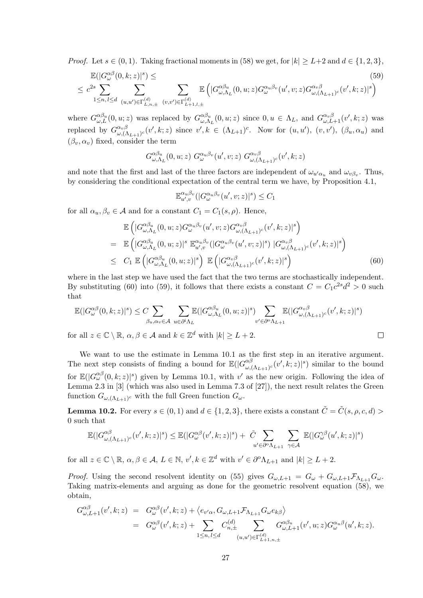*Proof.* Let  $s \in (0, 1)$ . Taking fractional moments in (58) we get, for  $|k| \ge L+2$  and  $d \in \{1, 2, 3\}$ ,

$$
\mathbb{E}(|G_{\omega}^{\alpha\beta}(0,k;z)|^{s}) \leq \tag{59}
$$
\n
$$
\leq c^{2s} \sum_{1 \leq n, l \leq d} \sum_{(u,u') \in \Gamma_{L,n,\pm}^{(d)} \ (v,v') \in \Gamma_{L+1,l,\pm}^{(d)}} \mathbb{E}\left(|G_{\omega,\Lambda_L}^{\alpha\beta_u}(0,u;z)G_{\omega}^{\alpha_u\beta_v}(u',v;z)G_{\omega,(\Lambda_{L+1})c}^{\alpha_v\beta}(v',k;z)|^{s}\right)
$$

where  $G_{\omega,L}^{\alpha\beta_u}(0,u;z)$  was replaced by  $G_{\omega,\Lambda}^{\alpha\beta_u}$  $\alpha_{\omega,\Lambda_L}^{\alpha\beta_u}(0,u;z)$  since  $0, u \in \Lambda_L$ , and  $G_{\omega,L+1}^{\alpha_v\beta_v}(v',k;z)$  was replaced by  $G^{\alpha_v\beta}_{\omega}$  $\alpha_v \beta_{\omega,(\Lambda_{L+1})c}(v',k;z)$  since  $v',k \in (\Lambda_{L+1})^c$ . Now for  $(u,u'), (v,v'), (\beta_u, \alpha_u)$  and  $(\beta_v, \alpha_v)$  fixed, consider the term

$$
G^{\alpha\beta_u}_{\omega,\Lambda_L}(0,u;z) G^{\alpha_u\beta_v}_{\omega}(u',v;z) G^{\alpha_v\beta}_{\omega,(\Lambda_{L+1})^c}(v',k;z)
$$

and note that the first and last of the three factors are independent of  $\omega_{u'\alpha_u}$  and  $\omega_{v\beta_v}$ . Thus, by considering the conditional expectation of the central term we have, by Proposition 4.1,

$$
\mathbb{E}_{u',v}^{\alpha_u\beta_v}(|G_{\omega}^{\alpha_u\beta_v}(u',v;z)|^s) \leq C_1
$$

for all  $\alpha_u, \beta_v \in \mathcal{A}$  and for a constant  $C_1 = C_1(s, \rho)$ . Hence,

$$
\mathbb{E}\left(|G_{\omega,\Lambda_L}^{\alpha\beta_u}(0,u;z)G_{\omega}^{\alpha_u\beta_v}(u',v;z)G_{\omega,(\Lambda_{L+1})^c}^{\alpha_v\beta}(v',k;z)|^s\right) \n= \mathbb{E}\left(|G_{\omega,\Lambda_L}^{\alpha\beta_u}(0,u;z)|^s \mathbb{E}_{u',v}^{\alpha_u\beta_v}(|G_{\omega}^{\alpha_u\beta_v}(u',v;z)|^s) |G_{\omega,(\Lambda_{L+1})^c}^{\alpha_v\beta}(v',k;z)|^s\right) \n\leq C_1 \mathbb{E}\left(|G_{\omega,\Lambda_L}^{\alpha\beta_u}(0,u;z)|^s\right) \mathbb{E}\left(|G_{\omega,(\Lambda_{L+1})^c}^{\alpha_v\beta}(v',k;z)|^s\right)
$$
\n(60)

where in the last step we have used the fact that the two terms are stochastically independent. By substituting (60) into (59), it follows that there exists a constant  $C = C_1 c^{2s} d^2 > 0$  such that

$$
\mathbb{E}(|G_{\omega}^{\alpha\beta}(0,k;z)|^{s}) \leq C \sum_{\beta_{u},\alpha_{v}\in\mathcal{A}} \sum_{u\in\partial^{i}\Lambda_{L}} \mathbb{E}(|G_{\omega,\Lambda_{L}}^{\alpha\beta_{u}}(0,u;z)|^{s}) \sum_{v'\in\partial^{\alpha}\Lambda_{L+1}} \mathbb{E}(|G_{\omega,(\Lambda_{L+1})c}^{\alpha_{v}\beta}(v',k;z)|^{s})
$$
  
or all  $z\in\mathbb{C}\setminus\mathbb{R}$ ,  $\alpha, \beta\in\mathcal{A}$  and  $k\in\mathbb{Z}^{d}$  with  $|k| \geq L+2$ .

for all  $z \in \mathbb{C} \setminus \mathbb{R}$ ,  $\alpha, \beta \in \mathcal{A}$  and  $k \in \mathbb{Z}^d$  with  $|k| \ge L + 2$ .

We want to use the estimate in Lemma 10.1 as the first step in an iterative argument. The next step consists of finding a bound for  $\mathbb{E}(|G_{\alpha}^{\alpha\beta}|)$  $\int_{\omega, (\Lambda_{L+1})^c}^{\alpha\beta} (v', k; z)|^s)$  similar to the bound for  $\mathbb{E}(|G_{\omega}^{\alpha\beta}(0,k;z)|^s)$  given by Lemma 10.1, with  $v'$  as the new origin. Following the idea of Lemma 2.3 in [3] (which was also used in Lemma 7.3 of [27]), the next result relates the Green function  $G_{\omega,(\Lambda_{L+1})^c}$  with the full Green function  $G_{\omega}$ .

**Lemma 10.2.** For every  $s \in (0,1)$  and  $d \in \{1,2,3\}$ , there exists a constant  $\tilde{C} = \tilde{C}(s, \rho, c, d) >$ 0 such that

$$
\mathbb{E}(|G_{\omega,(\Lambda_{L+1})^c}^{\alpha\beta}(v',k;z)|^s) \leq \mathbb{E}(|G_{\omega}^{\alpha\beta}(v',k;z)|^s) + \tilde{C} \sum_{u' \in \partial^o \Lambda_{L+1}} \sum_{\gamma \in \mathcal{A}} \mathbb{E}(|G_{\omega}^{\gamma\beta}(u',k;z)|^s)
$$

for all  $z \in \mathbb{C} \setminus \mathbb{R}, \alpha, \beta \in \mathcal{A}, L \in \mathbb{N}, v', k \in \mathbb{Z}^d$  with  $v' \in \partial^{\alpha} \Lambda_{L+1}$  and  $|k| \ge L + 2$ .

*Proof.* Using the second resolvent identity on (55) gives  $G_{\omega,L+1} = G_{\omega} + G_{\omega,L+1} \mathcal{F}_{\Lambda_{L+1}} G_{\omega}$ . Taking matrix-elements and arguing as done for the geometric resolvent equation (58), we obtain,

$$
G_{\omega,L+1}^{\alpha\beta}(v',k;z) = G_{\omega}^{\alpha\beta}(v',k;z) + \langle e_{v'\alpha}, G_{\omega,L+1} \mathcal{F}_{\Lambda_{L+1}} G_{\omega} e_{k\beta} \rangle
$$
  
= 
$$
G_{\omega}^{\alpha\beta}(v',k;z) + \sum_{1 \leq n,l \leq d} C_{n,\pm}^{(d)} \sum_{(u,u') \in \Gamma_{L+1,n,\pm}^{(d)}} G_{\omega,L+1}^{\alpha\beta_u}(v',u;z) G_{\omega}^{\alpha_u\beta}(u',k;z).
$$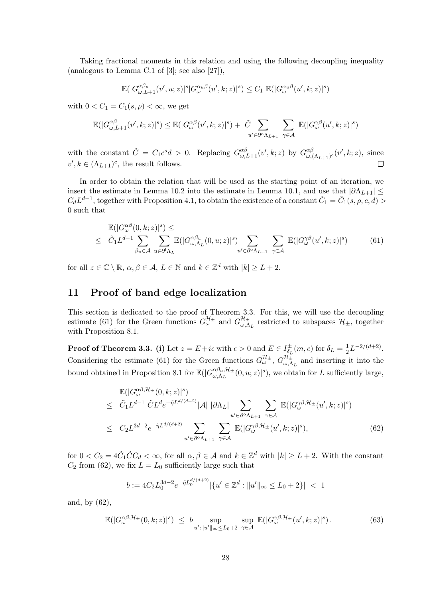Taking fractional moments in this relation and using the following decoupling inequality (analogous to Lemma C.1 of [3]; see also [27]),

$$
\mathbb{E}(|G_{\omega,L+1}^{\alpha\beta_u}(v',u;z)|^s|G_{\omega}^{\alpha_u\beta}(u',k;z)|^s) \leq C_1 \mathbb{E}(|G_{\omega}^{\alpha_u\beta}(u',k;z)|^s)
$$

with  $0 < C_1 = C_1(s, \rho) < \infty$ , we get

$$
\mathbb{E}(|G_{\omega,L+1}^{\alpha\beta}(v',k;z)|^s) \leq \mathbb{E}(|G_{\omega}^{\alpha\beta}(v',k;z)|^s) + \tilde{C} \sum_{u'\in\partial^{\alpha}\Lambda_{L+1}} \sum_{\gamma\in\mathcal{A}} \mathbb{E}(|G_{\omega}^{\gamma\beta}(u',k;z)|^s)
$$

with the constant  $\tilde{C} = C_1 c^s d > 0$ . Replacing  $G_{\omega, L+1}^{\alpha \beta}(v', k; z)$  by  $G_{\omega, \beta}^{\alpha \beta}$  $\int_{\omega,(\Lambda_{L+1})^c}^{\alpha\beta}(v',k;z),\,$  since  $v', k \in (\Lambda_{L+1})^c$ , the result follows.  $\Box$ 

In order to obtain the relation that will be used as the starting point of an iteration, we insert the estimate in Lemma 10.2 into the estimate in Lemma 10.1, and use that  $|\partial \Lambda_{L+1}| \leq$  $C_d L^{d-1}$ , together with Proposition 4.1, to obtain the existence of a constant  $\tilde{C}_1 = \tilde{C}_1(s, \rho, c, d) >$ 0 such that

$$
\mathbb{E}(|G_{\omega}^{\alpha\beta}(0,k;z)|^{s}) \leq \sum_{\beta_{u}\in\mathcal{A}} \sum_{u\in\partial^{i}\Lambda_{L}} \mathbb{E}(|G_{\omega,\Lambda_{L}}^{\alpha\beta_{u}}(0,u;z)|^{s}) \sum_{u'\in\partial^{o}\Lambda_{L+1}} \sum_{\gamma\in\mathcal{A}} \mathbb{E}(|G_{\omega}^{\gamma\beta}(u',k;z)|^{s})
$$
(61)

for all  $z \in \mathbb{C} \setminus \mathbb{R}, \, \alpha, \beta \in \mathcal{A}, \, L \in \mathbb{N}$  and  $k \in \mathbb{Z}^d$  with  $|k| \ge L + 2$ .

## 11 Proof of band edge localization

This section is dedicated to the proof of Theorem 3.3. For this, we will use the decoupling estimate (61) for the Green functions  $G^{\mathcal{H}_{\pm}}_{\omega}$  and  $G^{\mathcal{H}_{\pm}}_{\omega,\Lambda}$  $\mathcal{H}_{\pm}^{\pm}$  restricted to subspaces  $\mathcal{H}_{\pm}$ , together with Proposition 8.1.

**Proof of Theorem 3.3.** (i) Let  $z = E + i\epsilon$  with  $\epsilon > 0$  and  $E \in I_{\delta}^{\pm}$  $\frac{1}{\delta_L}(m, c)$  for  $\delta_L = \frac{1}{2}$  $\frac{1}{2}L^{-2/(d+2)}$ . Considering the estimate (61) for the Green functions  $G^{\mathcal{H}_{\pm}}_{\omega}$ ,  $G^{\mathcal{H}_{\pm}}_{\omega,\Lambda}$  $\mathbb{Z}_{\omega,\Lambda_L}^{\mu_\pm}$  and inserting it into the bound obtained in Proposition 8.1 for  $\mathbb{E}(|G_{\omega,\Lambda_t}^{\alpha\beta_u,\mathcal{H}_{\pm}}|)$  $\frac{\alpha\beta_u,\mathcal{H}_{\pm}}{\omega,\Lambda_L}(0,u;z)|^s),$  we obtain for L sufficiently large,

$$
\mathbb{E}(|G_{\omega}^{\alpha\beta,\mathcal{H}_{\pm}}(0,k;z)|^{s})
$$
\n
$$
\leq \tilde{C}_{1}L^{d-1} \tilde{C}L^{d}e^{-\tilde{\eta}L^{d/(d+2)}}|\mathcal{A}| |\partial\Lambda_{L}| \sum_{u'\in\partial^{\alpha}\Lambda_{L+1}} \sum_{\gamma\in\mathcal{A}} \mathbb{E}(|G_{\omega}^{\gamma\beta,\mathcal{H}_{\pm}}(u',k;z)|^{s})
$$
\n
$$
\leq C_{2}L^{3d-2}e^{-\tilde{\eta}L^{d/(d+2)}} \sum_{u'\in\partial^{\alpha}\Lambda_{L+1}} \sum_{\gamma\in\mathcal{A}} \mathbb{E}(|G_{\omega}^{\gamma\beta,\mathcal{H}_{\pm}}(u',k;z)|^{s}), \tag{62}
$$

for  $0 < C_2 = 4\tilde{C}_1 \tilde{C} C_d < \infty$ , for all  $\alpha, \beta \in \mathcal{A}$  and  $k \in \mathbb{Z}^d$  with  $|k| \ge L + 2$ . With the constant  $C_2$  from (62), we fix  $L = L_0$  sufficiently large such that

$$
b := 4C_2 L_0^{3d-2} e^{-\tilde{\eta} L_0^{d/(d+2)}} |\{u' \in \mathbb{Z}^d : \|u'\|_{\infty} \le L_0 + 2\}| < 1
$$

and, by (62),

$$
\mathbb{E}(|G_{\omega}^{\alpha\beta,\mathcal{H}_{\pm}}(0,k;z)|^s) \leq b \sup_{u':\|u'\|_{\infty}\leq L_0+2} \sup_{\gamma\in\mathcal{A}} \mathbb{E}(|G_{\omega}^{\gamma\beta,\mathcal{H}_{\pm}}(u',k;z)|^s).
$$
 (63)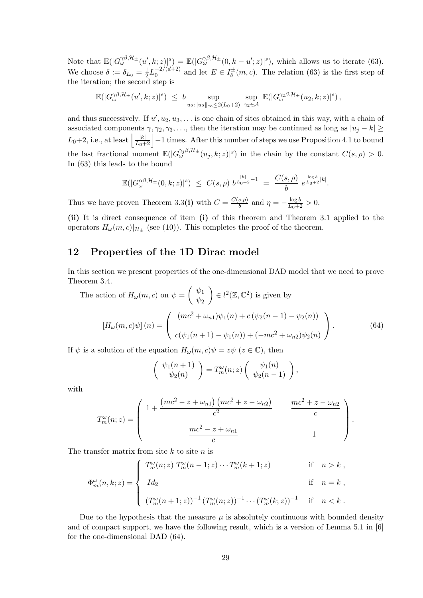Note that  $\mathbb{E}(|G_{\omega}^{\gamma\beta, \mathcal{H}_{\pm}}(u',k;z)|^s) = \mathbb{E}(|G_{\omega}^{\gamma\beta, \mathcal{H}_{\pm}}(0,k-u';z)|^s)$ , which allows us to iterate (63). We choose  $\delta := \delta_{L_0} = \frac{1}{2}$  $\frac{1}{2}L_0^{-2/(d+2)}$  $_0^{-2/(d+2)}$  and let  $E \in I_{\delta}^{\pm}$  $\bar{\delta}(m, c)$ . The relation (63) is the first step of the iteration; the second step is

$$
\mathbb{E}(|G_{\omega}^{\gamma\beta,\mathcal{H}_{\pm}}(u',k;z)|^s) \leq b \sup_{u_2:\|u_2\|_{\infty} \leq 2(L_0+2)} \sup_{\gamma_2 \in \mathcal{A}} \mathbb{E}(|G_{\omega}^{\gamma_2\beta,\mathcal{H}_{\pm}}(u_2,k;z)|^s),
$$

and thus successively. If  $u', u_2, u_3, \ldots$  is one chain of sites obtained in this way, with a chain of associated components  $\gamma$ ,  $\gamma_2$ ,  $\gamma_3$ , ..., then the iteration may be continued as long as  $|u_i - k| \ge$  $L_0+2$ , i.e., at least  $\left|\frac{|k|}{L_0+2}\right|-1$  times. After this number of steps we use Proposition 4.1 to bound the last fractional moment  $\mathbb{E}(|G_{\omega}^{\gamma_j\beta,\mathcal{H}_{\pm}}(u_j,k;z)|^s)$  in the chain by the constant  $C(s,\rho) > 0$ . In (63) this leads to the bound

$$
\mathbb{E}(|G_{\omega}^{\alpha\beta,\mathcal{H}_{\pm}}(0,k;z)|^{s}) \leq C(s,\rho) b^{\frac{|k|}{L_0+2}-1} = \frac{C(s,\rho)}{b} e^{\frac{\log b}{L_0+2}|k|}.
$$

Thus we have proven Theorem 3.3(i) with  $C = \frac{C(s,\rho)}{h}$  $\frac{(s,\rho)}{b}$  and  $\eta = -\frac{\log b}{L_0+2} > 0$ .

(ii) It is direct consequence of item (i) of this theorem and Theorem 3.1 applied to the operators  $H_{\omega}(m, c)|_{\mathcal{H}_{\pm}}$  (see (10)). This completes the proof of the theorem.

# 12 Properties of the 1D Dirac model

In this section we present properties of the one-dimensional DAD model that we need to prove Theorem 3.4.

The action of 
$$
H_{\omega}(m, c)
$$
 on  $\psi = \begin{pmatrix} \psi_1 \\ \psi_2 \end{pmatrix} \in l^2(\mathbb{Z}, \mathbb{C}^2)$  is given by  
\n
$$
\left[H_{\omega}(m, c)\psi\right](n) = \begin{pmatrix} (mc^2 + \omega_{n1})\psi_1(n) + c(\psi_2(n-1) - \psi_2(n)) \\ c(\psi_1(n+1) - \psi_1(n)) + (-mc^2 + \omega_{n2})\psi_2(n) \end{pmatrix}.
$$
\n(64)

If  $\psi$  is a solution of the equation  $H_{\omega}(m, c)\psi = z\psi \ (z \in \mathbb{C})$ , then

$$
\begin{pmatrix} \psi_1(n+1) \\ \psi_2(n) \end{pmatrix} = T_m^{\omega}(n;z) \begin{pmatrix} \psi_1(n) \\ \psi_2(n-1) \end{pmatrix},
$$

with

$$
T_m^{\omega}(n;z) = \left( \begin{array}{cc} 1 + \frac{(mc^2 - z + \omega_{n1}) (mc^2 + z - \omega_{n2})}{c^2} & \frac{mc^2 + z - \omega_{n2}}{c} \\ \frac{mc^2 - z + \omega_{n1}}{c} & 1 \end{array} \right).
$$

The transfer matrix from site  $k$  to site  $n$  is

$$
\Phi_m^{\omega}(n,k;z) = \begin{cases}\nT_m^{\omega}(n;z) T_m^{\omega}(n-1;z) \cdots T_m^{\omega}(k+1;z) & \text{if } n > k, \\
Id_2 & \text{if } n = k, \\
(T_m^{\omega}(n+1;z))^{-1} (T_m^{\omega}(n;z))^{-1} \cdots (T_m^{\omega}(k;z))^{-1} & \text{if } n < k.\n\end{cases}
$$

Due to the hypothesis that the measure  $\mu$  is absolutely continuous with bounded density and of compact support, we have the following result, which is a version of Lemma 5.1 in [6] for the one-dimensional DAD (64).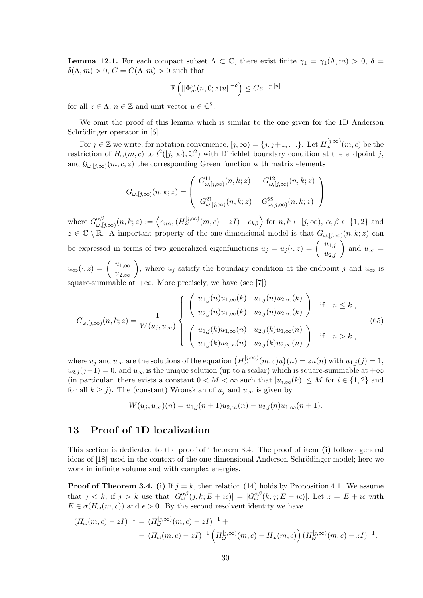**Lemma 12.1.** For each compact subset  $\Lambda \subset \mathbb{C}$ , there exist finite  $\gamma_1 = \gamma_1(\Lambda, m) > 0$ ,  $\delta =$  $\delta(\Lambda, m) > 0, C = C(\Lambda, m) > 0$  such that

$$
\mathbb{E}\left(\left\|\Phi_m^{\omega}(n,0;z)u\right\|^{-\delta}\right) \le Ce^{-\gamma_1|n|}
$$

for all  $z \in \Lambda$ ,  $n \in \mathbb{Z}$  and unit vector  $u \in \mathbb{C}^2$ .

We omit the proof of this lemma which is similar to the one given for the 1D Anderson Schrödinger operator in [6].

For  $j \in \mathbb{Z}$  we write, for notation convenience,  $[j, \infty) = \{j, j+1, \ldots\}$ . Let  $H_{\omega}^{[j, \infty)}(m, c)$  be the restriction of  $H_{\omega}(m, c)$  to  $l^2([j, \infty), \mathbb{C}^2)$  with Dirichlet boundary condition at the endpoint j, and  $\mathcal{G}_{\omega,[j,\infty)}(m,c,z)$  the corresponding Green function with matrix elements

$$
G_{\omega,[j,\infty)}(n,k;z)=\left(\begin{array}{cc}G_{\omega,[j,\infty)}^{11}(n,k;z)&G_{\omega,[j,\infty)}^{12}(n,k;z)\\ \vspace{2mm}G_{\omega,[j,\infty)}^{21}(n,k;z)&G_{\omega,[j,\infty)}^{22}(n,k;z)\end{array}\right)
$$

where  $G^{\alpha\beta}_{\omega\beta}$  $\begin{aligned} \alpha_{\omega,[j,\infty)}^{\alpha\beta}(n,k;z) := \left\langle e_{n\alpha},(H_{\omega}^{[j,\infty)}(m,c) - zI)^{-1}e_{k\beta} \right\rangle \text{ for } n,k \in [j,\infty), \ \alpha,\beta \in \{1,2\} \text{ and } \end{aligned}$  $z \in \mathbb{C} \setminus \mathbb{R}$ . A important property of the one-dimensional model is that  $G_{\omega,[j,\infty)}(n,k;z)$  can be expressed in terms of two generalized eigenfunctions  $u_j = u_j(\cdot, z) = \begin{pmatrix} u_{1,j} \\ u_{2,j} \end{pmatrix}$  and  $u_{\infty} =$  $u_{\infty}(\cdot, z) = \begin{pmatrix} u_{1,\infty} \\ u_{2,\infty} \end{pmatrix}$ ), where  $u_j$  satisfy the boundary condition at the endpoint j and  $u_{\infty}$  is

 $u_{2,\infty}$ square-summable at  $+\infty$ . More precisely, we have (see [7])

$$
G_{\omega,[j,\infty)}(n,k;z) = \frac{1}{W(u_j, u_\infty)} \begin{cases} \begin{pmatrix} u_{1,j}(n)u_{1,\infty}(k) & u_{1,j}(n)u_{2,\infty}(k) \\ u_{2,j}(n)u_{1,\infty}(k) & u_{2,j}(n)u_{2,\infty}(k) \end{pmatrix} & \text{if } n \leq k ,\\ \begin{pmatrix} u_{1,j}(k)u_{1,\infty}(n) & u_{2,j}(k)u_{1,\infty}(n) \\ u_{1,j}(k)u_{2,\infty}(n) & u_{2,j}(k)u_{2,\infty}(n) \end{pmatrix} & \text{if } n > k , \end{cases}
$$
(65)

where  $u_j$  and  $u_\infty$  are the solutions of the equation  $(H_\omega^{[j,\infty)}(m,c)u)(n) = zu(n)$  with  $u_{1,j}(j) = 1$ ,  $u_{2,j}(j-1) = 0$ , and  $u_{\infty}$  is the unique solution (up to a scalar) which is square-summable at  $+\infty$ (in particular, there exists a constant  $0 < M < \infty$  such that  $|u_{i,\infty}(k)| \leq M$  for  $i \in \{1,2\}$  and for all  $k \geq j$ ). The (constant) Wronskian of  $u_j$  and  $u_{\infty}$  is given by

$$
W(u_j, u_{\infty})(n) = u_{1,j}(n+1)u_{2,\infty}(n) - u_{2,j}(n)u_{1,\infty}(n+1).
$$

# 13 Proof of 1D localization

This section is dedicated to the proof of Theorem 3.4. The proof of item (i) follows general ideas of [18] used in the context of the one-dimensional Anderson Schrödinger model; here we work in infinite volume and with complex energies.

**Proof of Theorem 3.4.** (i) If  $j = k$ , then relation (14) holds by Proposition 4.1. We assume that  $j < k$ ; if  $j > k$  use that  $|G_{\omega}^{\alpha\beta}(j,k;E + i\epsilon)| = |G_{\omega}^{\alpha\beta}(k,j;E - i\epsilon)|$ . Let  $z = E + i\epsilon$  with  $E \in \sigma(H_\omega(m, c))$  and  $\epsilon > 0$ . By the second resolvent identity we have

$$
(H_{\omega}(m, c) - zI)^{-1} = (H_{\omega}^{[j, \infty)}(m, c) - zI)^{-1} ++ (H_{\omega}(m, c) - zI)^{-1} (H_{\omega}^{[j, \infty)}(m, c) - H_{\omega}(m, c)) (H_{\omega}^{[j, \infty)}(m, c) - zI)^{-1}.
$$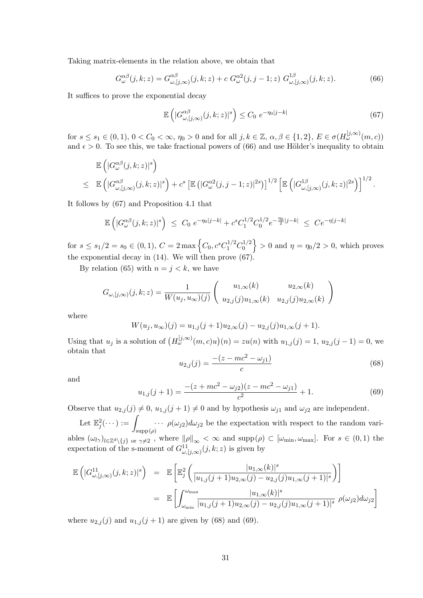Taking matrix-elements in the relation above, we obtain that

$$
G_{\omega}^{\alpha\beta}(j,k;z) = G_{\omega,[j,\infty)}^{\alpha\beta}(j,k;z) + c G_{\omega}^{\alpha\beta}(j,j-1;z) G_{\omega,[j,\infty)}^{1\beta}(j,k;z). \tag{66}
$$

It suffices to prove the exponential decay

$$
\mathbb{E}\left(|G_{\omega,[j,\infty)}^{\alpha\beta}(j,k;z)|^s\right) \le C_0 \ e^{-\eta_0|j-k|} \tag{67}
$$

for  $s \le s_1 \in (0, 1)$ ,  $0 < C_0 < \infty$ ,  $\eta_0 > 0$  and for all  $j, k \in \mathbb{Z}$ ,  $\alpha, \beta \in \{1, 2\}$ ,  $E \in \sigma(H_{\omega}^{[j, \infty)}(m, c))$ and  $\epsilon > 0$ . To see this, we take fractional powers of (66) and use Hölder's inequality to obtain

$$
\mathbb{E}\left(|G_{\omega}^{\alpha\beta}(j,k;z)|^{s}\right) \leq \mathbb{E}\left(|G_{\omega,[j,\infty)}^{\alpha\beta}(j,k;z)|^{s}\right) + c^{s}\left[\mathbb{E}\left(|G_{\omega}^{\alpha2}(j,j-1;z)|^{2s})\right]^{1/2}\left[\mathbb{E}\left(|G_{\omega,[j,\infty)}^{1\beta}(j,k;z)|^{2s}\right)\right]^{1/2}.
$$

It follows by (67) and Proposition 4.1 that

$$
\mathbb{E}\left(|G_{\omega}^{\alpha\beta}(j,k;z)|^{s}\right) \leq C_0 e^{-\eta_0|j-k|} + c^s C_1^{1/2} C_0^{1/2} e^{-\frac{\eta_0}{2}|j-k|} \leq C e^{-\eta|j-k|}
$$

for  $s \leq s_1/2 = s_0 \in (0, 1), C = 2 \max \left\{ C_0, c^s C_1^{1/2} C_0^{1/2} \right\}$  $\left\{\n\begin{array}{l}\n\frac{d^{1/2}}{2} \\
0\n\end{array}\n\right\} > 0$  and  $\eta = \eta_0/2 > 0$ , which proves the exponential decay in  $(14)$ . We will then prove  $(67)$ .

By relation (65) with  $n = j < k$ , we have

$$
G_{\omega,[j,\infty)}(j,k;z) = \frac{1}{W(u_j, u_{\infty})(j)} \begin{pmatrix} u_{1,\infty}(k) & u_{2,\infty}(k) \\ u_{2,j}(j)u_{1,\infty}(k) & u_{2,j}(j)u_{2,\infty}(k) \end{pmatrix}
$$

where

$$
W(u_j, u_{\infty})(j) = u_{1,j}(j+1)u_{2,\infty}(j) - u_{2,j}(j)u_{1,\infty}(j+1).
$$

Using that  $u_j$  is a solution of  $(H_\omega^{[j,\infty)}(m,c)u)(n) = zu(n)$  with  $u_{1,j}(j) = 1, u_{2,j}(j-1) = 0$ , we obtain that

$$
u_{2,j}(j) = \frac{-(z - mc^2 - \omega_{j1})}{c} \tag{68}
$$

and

$$
u_{1,j}(j+1) = \frac{-(z + mc^2 - \omega_{j2})(z - mc^2 - \omega_{j1})}{c^2} + 1.
$$
 (69)

Observe that  $u_{2,j}(j) \neq 0$ ,  $u_{1,j}(j + 1) \neq 0$  and by hypothesis  $\omega_{j1}$  and  $\omega_{j2}$  are independent.

Let  $\mathbb{E}_{j}^{2}(\cdots) :=$  $supp(\rho)$  $\cdots$   $\rho(\omega_{j2})d\omega_{j2}$  be the expectation with respect to the random variables  $(\omega_{l\gamma})_{l\in\mathbb{Z}^d\setminus\{j\}$  or  $\gamma\neq2$ , where  $\|\rho\|_{\infty}<\infty$  and  $\text{supp}(\rho)\subset[\omega_{\min},\omega_{\max}]$ . For  $s\in(0,1)$  the expectation of the s-moment of  $G_{\omega,[j,\infty)}^{11}(j,k;z)$  is given by

$$
\mathbb{E}\left(|G_{\omega,[j,\infty)}^{11}(j,k;z)|^{s}\right) = \mathbb{E}\left[\mathbb{E}_{j}^{2}\left(\frac{|u_{1,\infty}(k)|^{s}}{|u_{1,j}(j+1)u_{2,\infty}(j)-u_{2,j}(j)u_{1,\infty}(j+1)|^{s}}\right)\right]
$$
  
\n
$$
= \mathbb{E}\left[\int_{\omega_{\min}}^{\omega_{\max}} \frac{|u_{1,\infty}(k)|^{s}}{|u_{1,j}(j+1)u_{2,\infty}(j)-u_{2,j}(j)u_{1,\infty}(j+1)|^{s}} \rho(\omega_{j2})d\omega_{j2}\right]
$$

where  $u_{2,j}(j)$  and  $u_{1,j}(j + 1)$  are given by (68) and (69).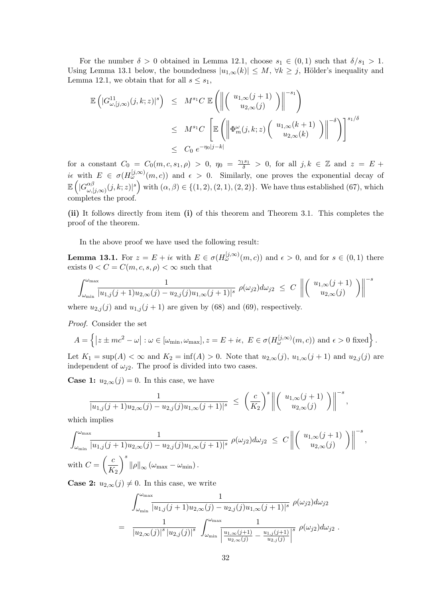For the number  $\delta > 0$  obtained in Lemma 12.1, choose  $s_1 \in (0,1)$  such that  $\delta/s_1 > 1$ . Using Lemma 13.1 below, the boundedness  $|u_{1,\infty}(k)| \leq M$ ,  $\forall k \geq j$ , Hölder's inequality and Lemma 12.1, we obtain that for all  $s \leq s_1$ ,

$$
\mathbb{E}\left(|G_{\omega,[j,\infty)}^{11}(j,k;z)|^{s}\right) \leq M^{s_{1}}C \mathbb{E}\left(\left\|\left(\begin{array}{c} u_{1,\infty}(j+1) \\ u_{2,\infty}(j) \end{array}\right)\right\|^{-s_{1}}\right)
$$
  

$$
\leq M^{s_{1}}C \left[\mathbb{E}\left(\left\|\Phi_{m}^{\omega}(j,k;z)\left(\begin{array}{c} u_{1,\infty}(k+1) \\ u_{2,\infty}(k) \end{array}\right)\right\|^{-\delta}\right)\right]^{s_{1}/\delta}
$$
  

$$
\leq C_{0} e^{-\eta_{0}|j-k|}
$$

for a constant  $C_0 = C_0(m, c, s_1, \rho) > 0$ ,  $\eta_0 = \frac{\gamma_1 s_1}{\delta} > 0$ , for all  $j, k \in \mathbb{Z}$  and  $z = E +$ ie with  $E \in \sigma(H_{\omega}^{[j,\infty)}(m,c))$  and  $\epsilon > 0$ . Similarly, one proves the exponential decay of  $\mathbb{E}\left( |G_{\omega}^{\alpha\beta}\right|$  $\left(\alpha,\beta\atop\omega,[j,\infty)}(j,k;z)\right|^{s}$  with  $(\alpha,\beta)\in\{(1,2),(2,1),(2,2)\}.$  We have thus established  $(67)$ , which completes the proof.

(ii) It follows directly from item (i) of this theorem and Theorem 3.1. This completes the proof of the theorem.

In the above proof we have used the following result:

**Lemma 13.1.** For  $z = E + i\epsilon$  with  $E \in \sigma(H_{\omega}^{[j,\infty)}(m,c))$  and  $\epsilon > 0$ , and for  $s \in (0,1)$  there exists  $0 < C = C(m, c, s, \rho) < \infty$  such that

$$
\int_{\omega_{\min}}^{\omega_{\max}} \frac{1}{|u_{1,j}(j+1)u_{2,\infty}(j) - u_{2,j}(j)u_{1,\infty}(j+1)|^s} \rho(\omega_{j2}) d\omega_{j2} \leq C \left\| \begin{pmatrix} u_{1,\infty}(j+1) \\ u_{2,\infty}(j) \end{pmatrix} \right\|^{-s}
$$

where  $u_{2,j}(j)$  and  $u_{1,j}(j + 1)$  are given by (68) and (69), respectively.

Proof. Consider the set

$$
A = \left\{ \left| z \pm mc^2 - \omega \right| : \omega \in [\omega_{\min}, \omega_{\max}], z = E + i\epsilon, E \in \sigma(H_{\omega}^{[j,\infty)}(m,c)) \text{ and } \epsilon > 0 \text{ fixed} \right\}.
$$

Let  $K_1 = \sup(A) < \infty$  and  $K_2 = \inf(A) > 0$ . Note that  $u_{2,\infty}(j)$ ,  $u_{1,\infty}(j+1)$  and  $u_{2,j}(j)$  are independent of  $\omega_{j2}$ . The proof is divided into two cases.

**Case 1:**  $u_{2,\infty}(j) = 0$ . In this case, we have

$$
\frac{1}{|u_{1,j}(j+1)u_{2,\infty}(j)-u_{2,j}(j)u_{1,\infty}(j+1)|^s} \ \leq \ \left(\frac{c}{K_2}\right)^s \left\| \left(\begin{array}{c} u_{1,\infty}(j+1) \\ u_{2,\infty}(j) \end{array}\right) \right\|^{-s},
$$

which implies

$$
\int_{\omega_{\min}}^{\omega_{\max}} \frac{1}{|u_{1,j}(j+1)u_{2,\infty}(j) - u_{2,j}(j)u_{1,\infty}(j+1)|^s} \rho(\omega_{j2}) d\omega_{j2} \leq C \left\| \begin{pmatrix} u_{1,\infty}(j+1) \\ u_{2,\infty}(j) \end{pmatrix} \right\|^{-s},
$$
  
with  $C = \left(\frac{c}{K_2}\right)^s \|\rho\|_{\infty} (\omega_{\max} - \omega_{\min}).$ 

**Case 2:**  $u_{2,\infty}(j) \neq 0$ . In this case, we write

$$
\int_{\omega_{\min}}^{\omega_{\max}} \frac{1}{|u_{1,j}(j+1)u_{2,\infty}(j) - u_{2,j}(j)u_{1,\infty}(j+1)|^s} \rho(\omega_{j2}) d\omega_{j2}
$$
  
= 
$$
\frac{1}{|u_{2,\infty}(j)|^s |u_{2,j}(j)|^s} \int_{\omega_{\min}}^{\omega_{\max}} \frac{1}{\left|\frac{u_{1,\infty}(j+1)}{u_{2,\infty}(j)} - \frac{u_{1,j}(j+1)}{u_{2,j}(j)}\right|^s} \rho(\omega_{j2}) d\omega_{j2}.
$$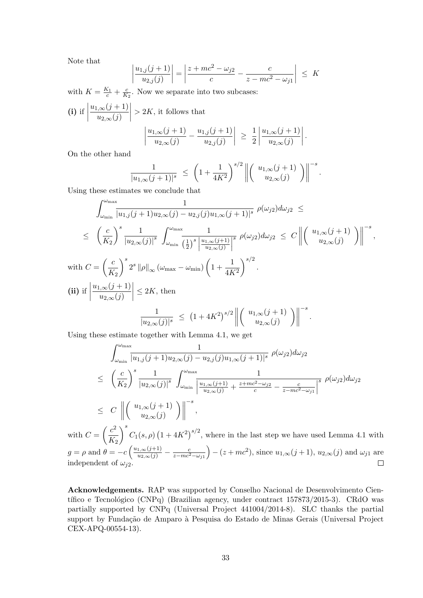Note that

$$
\left|\frac{u_{1,j}(j+1)}{u_{2,j}(j)}\right| = \left|\frac{z + mc^2 - \omega_{j2}}{c} - \frac{c}{z - mc^2 - \omega_{j1}}\right| \leq K
$$

with  $K = \frac{K_1}{c} + \frac{c}{K}$  $\frac{c}{K_2}$ . Now we separate into two subcases:

(i) if 
$$
\left| \frac{u_{1,\infty}(j+1)}{u_{2,\infty}(j)} \right| > 2K
$$
, it follows that  

$$
\left| \frac{u_{1,\infty}(j+1)}{u_{2,\infty}(j)} - \frac{u_{1,j}(j+1)}{u_{2,j}(j)} \right| \ge \frac{1}{2} \left| \frac{u_{1,\infty}(j+1)}{u_{2,\infty}(j)} \right|.
$$

On the other hand

$$
\frac{1}{|u_{1,\infty}(j+1)|^s} \le \left(1 + \frac{1}{4K^2}\right)^{s/2} \left\| \begin{pmatrix} u_{1,\infty}(j+1) \\ u_{2,\infty}(j) \end{pmatrix} \right\|^{-s}.
$$

Using these estimates we conclude that

$$
\int_{\omega_{\min}}^{\omega_{\max}} \frac{1}{|u_{1,j}(j+1)u_{2,\infty}(j) - u_{2,j}(j)u_{1,\infty}(j+1)|^s} \rho(\omega_{j2}) d\omega_{j2} \le
$$
\n
$$
\leq \left(\frac{c}{K_2}\right)^s \frac{1}{|u_{2,\infty}(j)|^s} \int_{\omega_{\min}}^{\omega_{\max}} \frac{1}{\left(\frac{1}{2}\right)^s \left|\frac{u_{1,\infty}(j+1)}{u_{2,\infty}(j)}\right|^s} \rho(\omega_{j2}) d\omega_{j2} \leq C \left\| \left(\frac{u_{1,\infty}(j+1)}{u_{2,\infty}(j)}\right) \right\|^{-s},
$$
\nwith  $C = \left(\frac{c}{K_2}\right)^s 2^s \|\rho\|_{\infty} (\omega_{\max} - \omega_{\min}) \left(1 + \frac{1}{4K^2}\right)^{s/2}.$   
\n(ii) if  $\left|\frac{u_{1,\infty}(j+1)}{u_{2,\infty}(j)}\right| \leq 2K$ , then\n
$$
\frac{1}{|u_{2,\infty}(j)|^s} \leq \left(1 + 4K^2\right)^{s/2} \left\| \left(\frac{u_{1,\infty}(j+1)}{u_{2,\infty}(j)}\right) \right\|^{-s}.
$$

Using these estimate together with Lemma 4.1, we get

$$
\int_{\omega_{\min}}^{\omega_{\max}} \frac{1}{|u_{1,j}(j+1)u_{2,\infty}(j) - u_{2,j}(j)u_{1,\infty}(j+1)|^s} \rho(\omega_{j2}) d\omega_{j2}
$$
\n
$$
\leq \left(\frac{c}{K_2}\right)^s \frac{1}{|u_{2,\infty}(j)|^s} \int_{\omega_{\min}}^{\omega_{\max}} \frac{1}{\left|\frac{u_{1,\infty}(j+1)}{u_{2,\infty}(j)} + \frac{z + mc^2 - \omega_{j2}}{c} - \frac{c}{z - mc^2 - \omega_{j1}}\right|^s} \rho(\omega_{j2}) d\omega_{j2}
$$
\n
$$
\leq C \left\| \left(\begin{array}{c} u_{1,\infty}(j+1) \\ u_{2,\infty}(j) \end{array}\right) \right\|^{-s},
$$

with  $C = \left(\frac{c^2}{K}\right)$  $K_{2}$  $\setminus^s$  $C_1(s, \rho)$   $(1+4K^2)^{s/2}$ , where in the last step we have used Lemma 4.1 with  $g = \rho \text{ and } \theta = -c \left( \frac{u_{1,\infty}(j+1)}{u_{2,\infty}(j)} - \frac{c}{z - mc^2 - \omega_{j1}} \right)$  $(-z + mc^2)$ , since  $u_{1,\infty}(j+1)$ ,  $u_{2,\infty}(j)$  and  $\omega_{j1}$  are independent of  $\omega_{j2}$ .

Acknowledgements. RAP was supported by Conselho Nacional de Desenvolvimento Científico e Tecnológico (CNPq) (Brazilian agency, under contract  $157873/2015-3$ ). CRdO was partially supported by CNPq (Universal Project 441004/2014-8). SLC thanks the partial support by Fundação de Amparo à Pesquisa do Estado de Minas Gerais (Universal Project CEX-APQ-00554-13).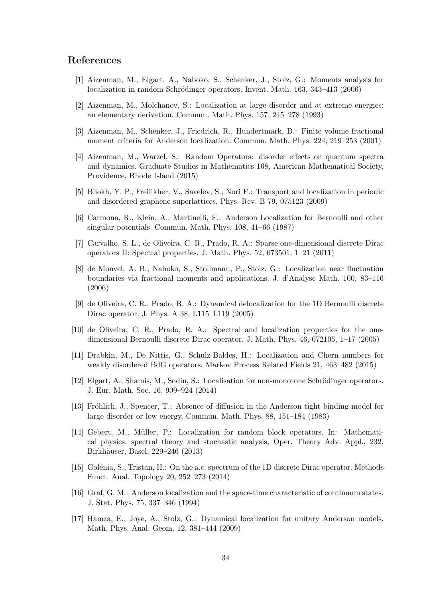# References

- [1] Aizenman, M., Elgart, A., Naboko, S., Schenker, J., Stolz, G.: Moments analysis for localization in random Schrödinger operators. Invent. Math. 163, 343–413 (2006)
- [2] Aizenman, M., Molchanov, S.: Localization at large disorder and at extreme energies: an elementary derivation. Commun. Math. Phys. 157, 245–278 (1993)
- [3] Aizenman, M., Schenker, J., Friedrich, R., Hundertmark, D.: Finite volume fractional moment criteria for Anderson localization. Commun. Math. Phys. 224, 219–253 (2001)
- [4] Aizenman, M., Warzel, S.: Random Operators: disorder effects on quantum spectra and dynamics. Graduate Studies in Mathematics 168, American Mathematical Society, Providence, Rhode Island (2015)
- [5] Bliokh, Y. P., Freilikher, V., Savelev, S., Nori F.: Transport and localization in periodic and disordered graphene superlattices. Phys. Rev. B 79, 075123 (2009)
- [6] Carmona, R., Klein, A., Martinelli, F.: Anderson Localization for Bernoulli and other singular potentials. Commun. Math. Phys. 108, 41–66 (1987)
- [7] Carvalho, S. L., de Oliveira, C. R., Prado, R. A.: Sparse one-dimensional discrete Dirac operators II: Spectral properties. J. Math. Phys. 52, 073501, 1–21 (2011)
- [8] de Monvel, A. B., Naboko, S., Stollmann, P., Stolz, G.: Localization near fluctuation boundaries via fractional moments and applications. J. d'Analyse Math. 100, 83–116 (2006)
- [9] de Oliveira, C. R., Prado, R. A.: Dynamical delocalization for the 1D Bernoulli discrete Dirac operator. J. Phys. A 38, L115–L119 (2005)
- [10] de Oliveira, C. R., Prado, R. A.: Spectral and localization properties for the onedimensional Bernoulli discrete Dirac operator. J. Math. Phys. 46, 072105, 1–17 (2005)
- [11] Drabkin, M., De Nittis, G., Schulz-Baldes, H.: Localization and Chern numbers for weakly disordered BdG operators. Markov Process Related Fields 21, 463–482 (2015)
- [12] Elgart, A., Shamis, M., Sodin, S.: Localisation for non-monotone Schrödinger operators. J. Eur. Math. Soc. 16, 909–924 (2014)
- [13] Fröhlich, J., Spencer, T.: Absence of diffusion in the Anderson tight binding model for large disorder or low energy. Commun. Math. Phys. 88, 151–184 (1983)
- [14] Gebert, M., Müller, P.: Localization for random block operators. In: Mathematical physics, spectral theory and stochastic analysis, Oper. Theory Adv. Appl., 232, Birkhäuser, Basel, 229–246 (2013)
- [15] Golénia, S., Tristan, H.: On the a.c. spectrum of the 1D discrete Dirac operator. Methods Funct. Anal. Topology 20, 252–273 (2014)
- [16] Graf, G. M.: Anderson localization and the space-time characteristic of continuum states. J. Stat. Phys. 75, 337–346 (1994)
- [17] Hamza, E., Joye, A., Stolz, G.: Dynamical localization for unitary Anderson models. Math. Phys. Anal. Geom. 12, 381–444 (2009)